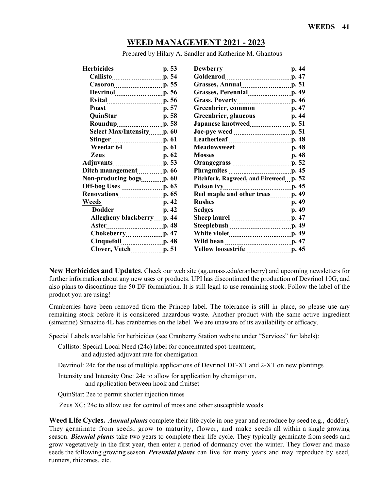# **WEED MANAGEMENT 2021 - 2023**

Prepared by Hilary A. Sandler and Katherine M. Ghantous

| <u>Herbicides</u> _____________________p. 53 | Dewberry p. 44                         |
|----------------------------------------------|----------------------------------------|
| Callisto p. 54                               | Goldenrod p. 47                        |
| Casoron p. 55                                | Grasses, Annual p. 51                  |
| Devrinol p. 56                               | Grasses, Perennial p. 49               |
| Evital p. 56                                 | Grass, Poverty [19] p. 46              |
| Poast p. 57                                  | Greenbrier, common [11, 13, 13, 147]   |
| QuinStar p. 58                               | Greenbrier, glaucous manuscript. 44    |
| <b>Roundup</b> p. 58                         |                                        |
| Select Max/Intensity p. 60                   | Joe-pye weed <u>manually</u> p. 51     |
| Stinger p. 61                                |                                        |
| Weedar 64 [100] p. 61                        | Meadowsweet p. 48                      |
| Zeus p. 62                                   |                                        |
|                                              |                                        |
| Ditch management p. 66                       |                                        |
| Non-producing bogs [10,60]                   | Pitchfork, Ragweed, and Fireweed p. 52 |
| Off-bog Uses [198] p. 63                     |                                        |
| <b>Renovations</b> <i>p.</i> 65              |                                        |
|                                              | Rushes p. 49                           |
| Dodder p. 42                                 |                                        |
| Allegheny blackberry p. 44                   |                                        |
| Aster <b>p. 48</b>                           | Steeplebush p. 49                      |
| Chokeberry p. 47                             | White violet <u>manually</u> p. 49     |
| Cinquefoil p. 48                             | Wild bean <u>manual p.</u> 47          |
| Clover, Vetch p. 51                          |                                        |
|                                              |                                        |

**New Herbicides and Updates**. Check our web site [\(ag.umass.edu/cranberry\)](http://www.ag.umass.edu/cranberry) and upcoming newsletters for further information about any new uses or products. UPI has discontinued the production of Devrinol 10G, and also plans to discontinue the 50 DF formulation. It is still legal to use remaining stock. Follow the label of the product you are using!

Cranberries have been removed from the Princep label. The tolerance is still in place, so please use any remaining stock before it is considered hazardous waste. Another product with the same active ingredient (simazine) Simazine 4L has cranberries on the label. We are unaware of its availability or efficacy.

Special Labels available for herbicides (see Cranberry Station website under "Services" for labels):

 Callisto: Special Local Need (24c) label for concentrated spot-treatment, and adjusted adjuvant rate for chemigation

Devrinol: 24c for the use of multiple applications of Devrinol DF-XT and 2-XT on new plantings

 Intensity and Intensity One: 24c to allow for application by chemigation, and application between hook and fruitset

QuinStar: 2ee to permit shorter injection times

Zeus XC: 24c to allow use for control of moss and other susceptible weeds

**Weed Life Cycles.** *Annual plants* complete their life cycle in one year and reproduce by seed (e.g., dodder). They germinate from seeds, grow to maturity, flower, and make seeds all within a single growing season. *Biennial plants* take two years to complete their life cycle. They typically germinate from seeds and grow vegetatively in the first year, then enter a period of dormancy over the winter. They flower and make seeds the following growing season. *Perennial plants* can live for many years and may reproduce by seed, runners, rhizomes, etc.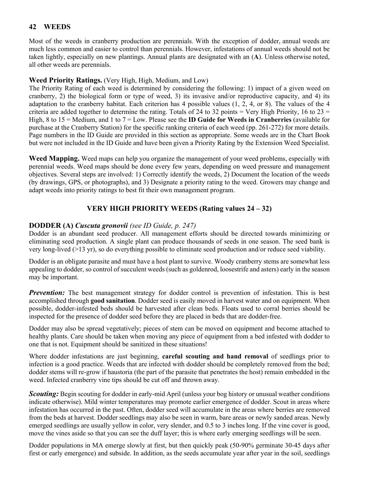Most of the weeds in cranberry production are perennials. With the exception of dodder, annual weeds are much less common and easier to control than perennials. However, infestations of annual weeds should not be taken lightly, especially on new plantings. Annual plants are designated with an (**A**). Unless otherwise noted, all other weeds are perennials.

#### **Weed Priority Ratings.** (Very High, High, Medium, and Low)

The Priority Rating of each weed is determined by considering the following: 1) impact of a given weed on cranberry, 2) the biological form or type of weed, 3) its invasive and/or reproductive capacity, and 4) its adaptation to the cranberry habitat. Each criterion has 4 possible values (1, 2, 4, or 8). The values of the 4 criteria are added together to determine the rating. Totals of 24 to 32 points  $=$  Very High Priority, 16 to 23  $=$ High, 8 to 15 = Medium, and 1 to 7 = Low. Please see the **ID Guide for Weeds in Cranberries** (available for purchase at the Cranberry Station) for the specific ranking criteria of each weed (pp. 261-272) for more details. Page numbers in the ID Guide are provided in this section as appropriate. Some weeds are in the Chart Book but were not included in the ID Guide and have been given a Priority Rating by the Extension Weed Specialist.

**Weed Mapping.** Weed maps can help you organize the management of your weed problems, especially with perennial weeds. Weed maps should be done every few years, depending on weed pressure and management objectives. Several steps are involved: 1) Correctly identify the weeds, 2) Document the location of the weeds (by drawings, GPS, or photographs), and 3) Designate a priority rating to the weed. Growers may change and adapt weeds into priority ratings to best fit their own management program.

# **VERY HIGH PRIORITY WEEDS (Rating values 24 – 32)**

# **DODDER (A)** *Cuscuta gronovii (see ID Guide, p. 247)*

Dodder is an abundant seed producer. All management efforts should be directed towards minimizing or eliminating seed production. A single plant can produce thousands of seeds in one season. The seed bank is very long-lived (>13 yr), so do everything possible to eliminate seed production and/or reduce seed viability.

Dodder is an obligate parasite and must have a host plant to survive. Woody cranberry stems are somewhat less appealing to dodder, so control of succulent weeds (such as goldenrod, loosestrife and asters) early in the season may be important.

*Prevention:* The best management strategy for dodder control is prevention of infestation. This is best accomplished through **good sanitation**. Dodder seed is easily moved in harvest water and on equipment. When possible, dodder-infested beds should be harvested after clean beds. Floats used to corral berries should be inspected for the presence of dodder seed before they are placed in beds that are dodder-free.

Dodder may also be spread vegetatively; pieces of stem can be moved on equipment and become attached to healthy plants. Care should be taken when moving any piece of equipment from a bed infested with dodder to one that is not. Equipment should be sanitized in these situations!

Where dodder infestations are just beginning, **careful scouting and hand removal** of seedlings prior to infection is a good practice. Weeds that are infected with dodder should be completely removed from the bed; dodder stems will re-grow if haustoria (the part of the parasite that penetrates the host) remain embedded in the weed. Infected cranberry vine tips should be cut off and thrown away.

*Scouting:* Begin scouting for dodder in early-mid April (unless your bog history or unusual weather conditions indicate otherwise). Mild winter temperatures may promote earlier emergence of dodder. Scout in areas where infestation has occurred in the past. Often, dodder seed will accumulate in the areas where berries are removed from the beds at harvest. Dodder seedlings may also be seen in warm, bare areas or newly sanded areas. Newly emerged seedlings are usually yellow in color, very slender, and 0.5 to 3 inches long. If the vine cover is good, move the vines aside so that you can see the duff layer; this is where early emerging seedlings will be seen.

Dodder populations in MA emerge slowly at first, but then quickly peak (50-90% germinate 30-45 days after first or early emergence) and subside. In addition, as the seeds accumulate year after year in the soil, seedlings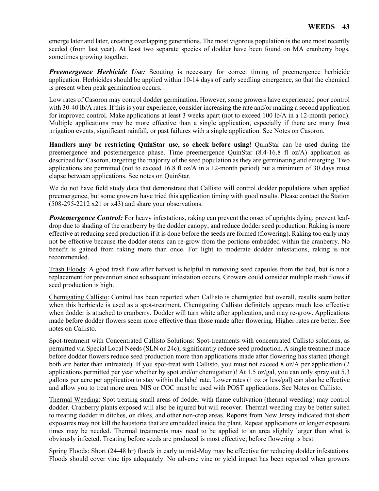emerge later and later, creating overlapping generations. The most vigorous population is the one most recently seeded (from last year). At least two separate species of dodder have been found on MA cranberry bogs, sometimes growing together.

**Preemergence Herbicide Use:** Scouting is necessary for correct timing of preemergence herbicide application. Herbicides should be applied within 10-14 days of early seedling emergence, so that the chemical is present when peak germination occurs.

Low rates of Casoron may control dodder germination. However, some growers have experienced poor control with 30-40 lb/A rates. If this is your experience, consider increasing the rate and/or making a second application for improved control. Make applications at least 3 weeks apart (not to exceed 100 lb/A in a 12-month period). Multiple applications may be more effective than a single application, especially if there are many frost irrigation events, significant rainfall, or past failures with a single application. See Notes on Casoron.

**Handlers may be restricting QuinStar use, so check before using**! QuinStar can be used during the preemergence and postemergence phase. Time preemergence QuinStar (8.4-16.8 fl oz/A) application as described for Casoron, targeting the majority of the seed population as they are germinating and emerging. Two applications are permitted (not to exceed 16.8 fl  $oz/A$  in a 12-month period) but a minimum of 30 days must elapse between applications. See notes on QuinStar.

We do not have field study data that demonstrate that Callisto will control dodder populations when applied preemergence, but some growers have tried this application timing with good results. Please contact the Station (508-295-2212 x21 or x43) and share your observations.

**Postemergence Control:** For heavy infestations, raking can prevent the onset of uprights dying, prevent leafdrop due to shading of the cranberry by the dodder canopy, and reduce dodder seed production. Raking is more effective at reducing seed production if it is done before the seeds are formed (flowering). Raking too early may not be effective because the dodder stems can re-grow from the portions embedded within the cranberry. No benefit is gained from raking more than once. For light to moderate dodder infestations, raking is not recommended.

Trash Floods: A good trash flow after harvest is helpful in removing seed capsules from the bed, but is not a replacement for prevention since subsequent infestation occurs. Growers could consider multiple trash flows if seed production is high.

Chemigating Callisto: Control has been reported when Callisto is chemigated but overall, results seem better when this herbicide is used as a spot-treatment. Chemigating Callisto definitely appears much less effective when dodder is attached to cranberry. Dodder will turn white after application, and may re-grow. Applications made before dodder flowers seem more effective than those made after flowering. Higher rates are better. See notes on Callisto.

Spot-treatment with Concentrated Callisto Solutions: Spot-treatments with concentrated Callisto solutions, as permitted via Special Local Needs (SLN or 24c), significantly reduce seed production. A single treatment made before dodder flowers reduce seed production more than applications made after flowering has started (though both are better than untreated). If you spot-treat with Callisto, you must not exceed 8 oz/A per application (2 applications permitted per year whether by spot and/or chemigation)! At 1.5 oz/gal, you can only spray out 5.3 gallons per acre per application to stay within the label rate. Lower rates (1 oz or less/gal) can also be effective and allow you to treat more area. NIS or COC must be used with POST applications. See Notes on Callisto.

Thermal Weeding: Spot treating small areas of dodder with flame cultivation (thermal weeding) may control dodder. Cranberry plants exposed will also be injured but will recover. Thermal weeding may be better suited to treating dodder in ditches, on dikes, and other non-crop areas. Reports from New Jersey indicated that short exposures may not kill the haustoria that are embedded inside the plant. Repeat applications or longer exposure times may be needed. Thermal treatments may need to be applied to an area slightly larger than what is obviously infected. Treating before seeds are produced is most effective; before flowering is best.

Spring Floods: Short (24-48 hr) floods in early to mid-May may be effective for reducing dodder infestations. Floods should cover vine tips adequately. No adverse vine or yield impact has been reported when growers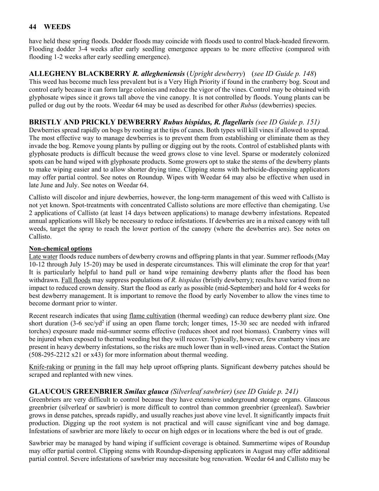have held these spring floods. Dodder floods may coincide with floods used to control black-headed fireworm. Flooding dodder 3-4 weeks after early seedling emergence appears to be more effective (compared with flooding 1-2 weeks after early seedling emergence).

**ALLEGHENY BLACKBERRY** *R. allegheniensis* (*Upright dewberry*) (*see ID Guide p. 148*) This weed has become much less prevalent but is a Very High Priority if found in the cranberry bog. Scout and control early because it can form large colonies and reduce the vigor of the vines. Control may be obtained with glyphosate wipes since it grows tall above the vine canopy. It is not controlled by floods. Young plants can be pulled or dug out by the roots. Weedar 64 may be used as described for other *Rubus* (dewberries) species.

# **BRISTLY AND PRICKLY DEWBERRY** *Rubus hispidus, R. flagellaris (see ID Guide p. 151)*

Dewberries spread rapidly on bogs by rooting at the tips of canes. Both types will kill vines if allowed to spread. The most effective way to manage dewberries is to prevent them from establishing or eliminate them as they invade the bog. Remove young plants by pulling or digging out by the roots. Control of established plants with glyphosate products is difficult because the weed grows close to vine level. Sparse or moderately colonized spots can be hand wiped with glyphosate products. Some growers opt to stake the stems of the dewberry plants to make wiping easier and to allow shorter drying time. Clipping stems with herbicide-dispensing applicators may offer partial control. See notes on Roundup. Wipes with Weedar 64 may also be effective when used in late June and July. See notes on Weedar 64.

Callisto will discolor and injure dewberries, however, the long-term management of this weed with Callisto is not yet known. Spot-treatments with concentrated Callisto solutions are more effective than chemigating. Use 2 applications of Callisto (at least 14 days between applications) to manage dewberry infestations. Repeated annual applications will likely be necessary to reduce infestations. If dewberries are in a mixed canopy with tall weeds, target the spray to reach the lower portion of the canopy (where the dewberries are). See notes on Callisto.

#### **Non-chemical options**

Late water floods reduce numbers of dewberry crowns and offspring plants in that year. Summer refloods (May 10-12 through July 15-20) may be used in desperate circumstances. This will eliminate the crop for that year! It is particularly helpful to hand pull or hand wipe remaining dewberry plants after the flood has been withdrawn. Fall floods may suppress populations of *R. hispidus* (bristly dewberry); results have varied from no impact to reduced crown density. Start the flood as early as possible (mid-September) and hold for 4 weeks for best dewberry management. It is important to remove the flood by early November to allow the vines time to become dormant prior to winter.

Recent research indicates that using flame cultivation (thermal weeding) can reduce dewberry plant size. One short duration  $(3-6 \text{ sec}/yd^2)$  if using an open flame torch; longer times, 15-30 sec are needed with infrared torches) exposure made mid-summer seems effective (reduces shoot and root biomass). Cranberry vines will be injured when exposed to thermal weeding but they will recover. Typically, however, few cranberry vines are present in heavy dewberry infestations, so the risks are much lower than in well-vined areas. Contact the Station (508-295-2212 x21 or x43) for more information about thermal weeding.

Knife-raking or pruning in the fall may help uproot offspring plants. Significant dewberry patches should be scraped and replanted with new vines.

# **GLAUCOUS GREENBRIER** *Smilax glauca (Silverleaf sawbrier)* (*see ID Guide p. 241)*

Greenbriers are very difficult to control because they have extensive underground storage organs. Glaucous greenbrier (silverleaf or sawbrier) is more difficult to control than common greenbrier (greenleaf). Sawbrier grows in dense patches, spreads rapidly, and usually reaches just above vine level. It significantly impacts fruit production. Digging up the root system is not practical and will cause significant vine and bog damage. Infestations of sawbrier are more likely to occur on high edges or in locations where the bed is out of grade.

Sawbrier may be managed by hand wiping if sufficient coverage is obtained. Summertime wipes of Roundup may offer partial control. Clipping stems with Roundup-dispensing applicators in August may offer additional partial control. Severe infestations of sawbrier may necessitate bog renovation. Weedar 64 and Callisto may be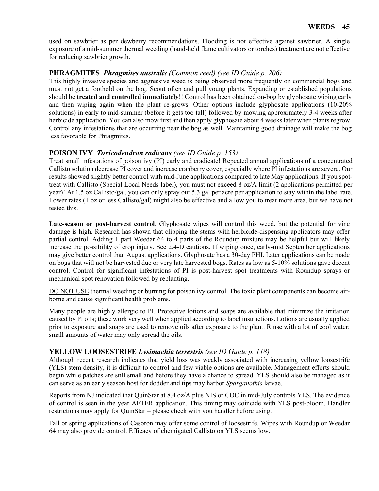used on sawbrier as per dewberry recommendations. Flooding is not effective against sawbrier. A single exposure of a mid-summer thermal weeding (hand-held flame cultivators or torches) treatment are not effective for reducing sawbrier growth.

## **PHRAGMITES** *Phragmites australis (Common reed) (see ID Guide p. 206)*

This highly invasive species and aggressive weed is being observed more frequently on commercial bogs and must not get a foothold on the bog. Scout often and pull young plants. Expanding or established populations should be **treated and controlled immediately**!! Control has been obtained on-bog by glyphosate wiping early and then wiping again when the plant re-grows. Other options include glyphosate applications (10-20% solutions) in early to mid-summer (before it gets too tall) followed by mowing approximately 3-4 weeks after herbicide application. You can also mow first and then apply glyphosate about 4 weeks later when plants regrow. Control any infestations that are occurring near the bog as well. Maintaining good drainage will make the bog less favorable for Phragmites.

# **POISON IVY** *Toxicodendron radicans (see ID Guide p. 153)*

Treat small infestations of poison ivy (PI) early and eradicate! Repeated annual applications of a concentrated Callisto solution decrease PI cover and increase cranberry cover, especially where PI infestations are severe. Our results showed slightly better control with mid-June applications compared to late May applications. If you spottreat with Callisto (Special Local Needs label), you must not exceed 8 oz/A limit (2 applications permitted per year)! At 1.5 oz Callisto/gal, you can only spray out 5.3 gal per acre per application to stay within the label rate. Lower rates (1 oz or less Callisto/gal) might also be effective and allow you to treat more area, but we have not tested this.

**Late-season or post-harvest control**. Glyphosate wipes will control this weed, but the potential for vine damage is high. Research has shown that clipping the stems with herbicide-dispensing applicators may offer partial control. Adding 1 part Weedar 64 to 4 parts of the Roundup mixture may be helpful but will likely increase the possibility of crop injury. See 2,4-D cautions. If wiping once, early-mid September applications may give better control than August applications. Glyphosate has a 30-day PHI. Later applications can be made on bogs that will not be harvested due or very late harvested bogs. Rates as low as 5-10% solutions gave decent control. Control for significant infestations of PI is post-harvest spot treatments with Roundup sprays or mechanical spot renovation followed by replanting.

DO NOT USE thermal weeding or burning for poison ivy control. The toxic plant components can become airborne and cause significant health problems.

Many people are highly allergic to PI. Protective lotions and soaps are available that minimize the irritation caused by PI oils; these work very well when applied according to label instructions. Lotions are usually applied prior to exposure and soaps are used to remove oils after exposure to the plant. Rinse with a lot of cool water; small amounts of water may only spread the oils.

#### **YELLOW LOOSESTRIFE** *Lysimachia terrestris (see ID Guide p. 118)*

Although recent research indicates that yield loss was weakly associated with increasing yellow loosestrife (YLS) stem density, it is difficult to control and few viable options are available. Management efforts should begin while patches are still small and before they have a chance to spread. YLS should also be managed as it can serve as an early season host for dodder and tips may harbor *Sparganothis* larvae.

Reports from NJ indicated that QuinStar at 8.4 oz/A plus NIS or COC in mid-July controls YLS. The evidence of control is seen in the year AFTER application. This timing may coincide with YLS post-bloom. Handler restrictions may apply for QuinStar – please check with you handler before using.

Fall or spring applications of Casoron may offer some control of loosestrife. Wipes with Roundup or Weedar 64 may also provide control. Efficacy of chemigated Callisto on YLS seems low.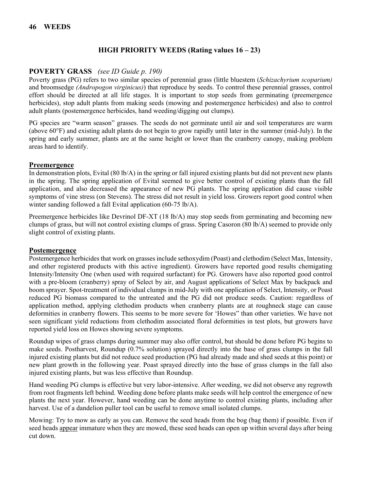# **HIGH PRIORITY WEEDS (Rating values 16 – 23)**

#### **POVERTY GRASS** *(see ID Guide p. 190)*

Poverty grass (PG) refers to two similar species of perennial grass (little bluestem (*Schizachyrium scoparium)*  and broomsedge *(Andropogon virginicus)*) that reproduce by seeds. To control these perennial grasses, control effort should be directed at all life stages. It is important to stop seeds from germinating (preemergence herbicides), stop adult plants from making seeds (mowing and postemergence herbicides) and also to control adult plants (postemergence herbicides, hand weeding/digging out clumps).

PG species are "warm season" grasses. The seeds do not germinate until air and soil temperatures are warm (above 60°F) and existing adult plants do not begin to grow rapidly until later in the summer (mid-July). In the spring and early summer, plants are at the same height or lower than the cranberry canopy, making problem areas hard to identify.

#### **Preemergence**

In demonstration plots, Evital (80 lb/A) in the spring or fall injured existing plants but did not prevent new plants in the spring. The spring application of Evital seemed to give better control of existing plants than the fall application, and also decreased the appearance of new PG plants. The spring application did cause visible symptoms of vine stress (on Stevens). The stress did not result in yield loss. Growers report good control when winter sanding followed a fall Evital application (60-75 lb/A).

Preemergence herbicides like Devrinol DF-XT (18 lb/A) may stop seeds from germinating and becoming new clumps of grass, but will not control existing clumps of grass. Spring Casoron (80 lb/A) seemed to provide only slight control of existing plants.

#### **Postemergence**

Postemergence herbicides that work on grasses include sethoxydim (Poast) and clethodim (Select Max, Intensity, and other registered products with this active ingredient). Growers have reported good results chemigating Intensity/Intensity One (when used with required surfactant) for PG. Growers have also reported good control with a pre-bloom (cranberry) spray of Select by air, and August applications of Select Max by backpack and boom sprayer. Spot-treatment of individual clumps in mid-July with one application of Select, Intensity, or Poast reduced PG biomass compared to the untreated and the PG did not produce seeds. Caution: regardless of application method, applying clethodim products when cranberry plants are at roughneck stage can cause deformities in cranberry flowers. This seems to be more severe for 'Howes" than other varieties. We have not seen significant yield reductions from clethodim associated floral deformities in test plots, but growers have reported yield loss on Howes showing severe symptoms.

Roundup wipes of grass clumps during summer may also offer control, but should be done before PG begins to make seeds. Postharvest, Roundup (0.7% solution) sprayed directly into the base of grass clumps in the fall injured existing plants but did not reduce seed production (PG had already made and shed seeds at this point) or new plant growth in the following year. Poast sprayed directly into the base of grass clumps in the fall also injured existing plants, but was less effective than Roundup.

Hand weeding PG clumps is effective but very labor-intensive. After weeding, we did not observe any regrowth from root fragments left behind. Weeding done before plants make seeds will help control the emergence of new plants the next year. However, hand weeding can be done anytime to control existing plants, including after harvest. Use of a dandelion puller tool can be useful to remove small isolated clumps.

Mowing: Try to mow as early as you can. Remove the seed heads from the bog (bag them) if possible. Even if seed heads appear immature when they are mowed, these seed heads can open up within several days after being cut down.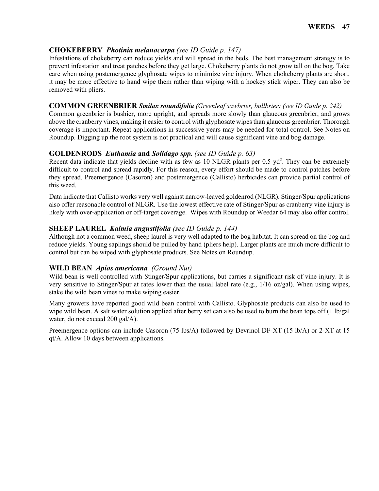#### **CHOKEBERRY** *Photinia melanocarpa (see ID Guide p. 147)*

Infestations of chokeberry can reduce yields and will spread in the beds. The best management strategy is to prevent infestation and treat patches before they get large. Chokeberry plants do not grow tall on the bog. Take care when using postemergence glyphosate wipes to minimize vine injury. When chokeberry plants are short, it may be more effective to hand wipe them rather than wiping with a hockey stick wiper. They can also be removed with pliers.

#### **COMMON GREENBRIER** *Smilax rotundifolia (Greenleaf sawbrier, bullbrier) (see ID Guide p. 242)*

Common greenbrier is bushier, more upright, and spreads more slowly than glaucous greenbrier, and grows above the cranberry vines, making it easier to control with glyphosate wipes than glaucous greenbrier. Thorough coverage is important. Repeat applications in successive years may be needed for total control. See Notes on Roundup. Digging up the root system is not practical and will cause significant vine and bog damage.

#### **GOLDENRODS** *Euthamia* **and** *Solidago spp. (see ID Guide p. 63)*

Recent data indicate that yields decline with as few as 10 NLGR plants per  $0.5$  yd<sup>2</sup>. They can be extremely difficult to control and spread rapidly. For this reason, every effort should be made to control patches before they spread. Preemergence (Casoron) and postemergence (Callisto) herbicides can provide partial control of this weed.

Data indicate that Callisto works very well against narrow-leaved goldenrod (NLGR). Stinger/Spur applications also offer reasonable control of NLGR. Use the lowest effective rate of Stinger/Spur as cranberry vine injury is likely with over-application or off-target coverage. Wipes with Roundup or Weedar 64 may also offer control.

#### **SHEEP LAUREL** *Kalmia angustifolia (see ID Guide p. 144)*

Although not a common weed, sheep laurel is very well adapted to the bog habitat. It can spread on the bog and reduce yields. Young saplings should be pulled by hand (pliers help). Larger plants are much more difficult to control but can be wiped with glyphosate products. See Notes on Roundup.

#### **WILD BEAN** *Apios americana**(Ground Nut)*

Wild bean is well controlled with Stinger/Spur applications, but carries a significant risk of vine injury. It is very sensitive to Stinger/Spur at rates lower than the usual label rate (e.g., 1/16 oz/gal). When using wipes, stake the wild bean vines to make wiping easier.

Many growers have reported good wild bean control with Callisto. Glyphosate products can also be used to wipe wild bean. A salt water solution applied after berry set can also be used to burn the bean tops off (1 lb/gal water, do not exceed 200 gal/A).

Preemergence options can include Casoron (75 lbs/A) followed by Devrinol DF-XT (15 lb/A) or 2-XT at 15 qt/A. Allow 10 days between applications.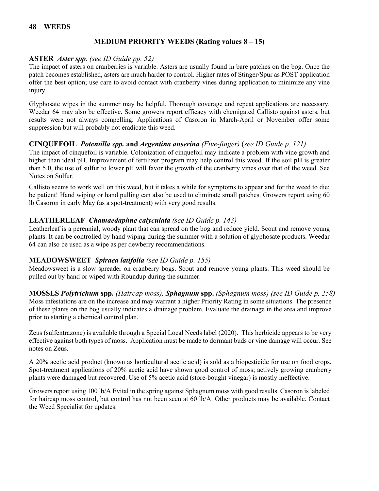### **MEDIUM PRIORITY WEEDS (Rating values 8 – 15)**

#### **ASTER** *Aster spp. (see ID Guide pp. 52)*

The impact of asters on cranberries is variable. Asters are usually found in bare patches on the bog. Once the patch becomes established, asters are much harder to control. Higher rates of Stinger/Spur as POST application offer the best option; use care to avoid contact with cranberry vines during application to minimize any vine injury.

Glyphosate wipes in the summer may be helpful. Thorough coverage and repeat applications are necessary. Weedar 64 may also be effective. Some growers report efficacy with chemigated Callisto against asters, but results were not always compelling. Applications of Casoron in March-April or November offer some suppression but will probably not eradicate this weed.

#### **CINQUEFOIL** *Potentilla spp.* **and** *Argentina anserina (Five-finger)* (*see ID Guide p. 121)*

The impact of cinquefoil is variable. Colonization of cinquefoil may indicate a problem with vine growth and higher than ideal pH. Improvement of fertilizer program may help control this weed. If the soil pH is greater than 5.0, the use of sulfur to lower pH will favor the growth of the cranberry vines over that of the weed. See Notes on Sulfur.

Callisto seems to work well on this weed, but it takes a while for symptoms to appear and for the weed to die; be patient! Hand wiping or hand pulling can also be used to eliminate small patches. Growers report using 60 lb Casoron in early May (as a spot-treatment) with very good results.

#### **LEATHERLEAF** *Chamaedaphne calyculata (see ID Guide p. 143)*

Leatherleaf is a perennial, woody plant that can spread on the bog and reduce yield. Scout and remove young plants. It can be controlled by hand wiping during the summer with a solution of glyphosate products. Weedar 64 can also be used as a wipe as per dewberry recommendations.

#### **MEADOWSWEET** *Spiraea latifolia (see ID Guide p. 155)*

Meadowsweet is a slow spreader on cranberry bogs. Scout and remove young plants. This weed should be pulled out by hand or wiped with Roundup during the summer.

**MOSSES** *Polytrichum* **spp.** *(Haircap moss), Sphagnum* **spp.** *(Sphagnum moss) (see ID Guide p. 258)* Moss infestations are on the increase and may warrant a higher Priority Rating in some situations. The presence of these plants on the bog usually indicates a drainage problem. Evaluate the drainage in the area and improve prior to starting a chemical control plan.

Zeus (sulfentrazone) is available through a Special Local Needs label (2020). This herbicide appears to be very effective against both types of moss. Application must be made to dormant buds or vine damage will occur. See notes on Zeus.

A 20% acetic acid product (known as horticultural acetic acid) is sold as a biopesticide for use on food crops. Spot-treatment applications of 20% acetic acid have shown good control of moss; actively growing cranberry plants were damaged but recovered. Use of 5% acetic acid (store-bought vinegar) is mostly ineffective.

Growers report using 100 lb/A Evital in the spring against Sphagnum moss with good results. Casoron is labeled for haircap moss control, but control has not been seen at 60 lb/A. Other products may be available. Contact the Weed Specialist for updates.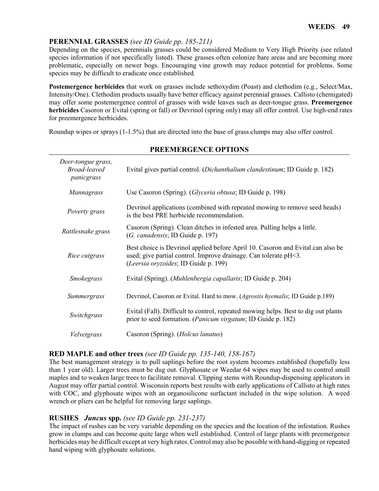# **PERENNIAL GRASSES** *(see ID Guide pp. 185-211)*

Depending on the species, perennials grasses could be considered Medium to Very High Priority (see related species information if not specifically listed). These grasses often colonize bare areas and are becoming more problematic, especially on newer bogs. Encouraging vine growth may reduce potential for problems. Some species may be difficult to eradicate once established.

**Postemergence herbicides** that work on grasses include sethoxydim (Poast) and clethodim (e.g., Select/Max, Intensity/One). Clethodim products usually have better efficacy against perennial grasses. Callisto (chemigated) may offer some postemergence control of grasses with wide leaves such as deer-tongue grass. **Preemergence herbicides** Casoron or Evital (spring or fall) or Devrinol (spring only) may all offer control. Use high-end rates for preemergence herbicides.

Roundup wipes or sprays (1-1.5%) that are directed into the base of grass clumps may also offer control.

| Deer-tongue grass,<br><b>Broad-leaved</b><br>panicgrass | Evital gives partial control. (Dichanthalium clandestinum; ID Guide p. 182)                                                                                                                 |
|---------------------------------------------------------|---------------------------------------------------------------------------------------------------------------------------------------------------------------------------------------------|
| Mannagrass                                              | Use Casoron (Spring). ( <i>Glyceria obtusa</i> ; ID Guide p. 198)                                                                                                                           |
| Poverty grass                                           | Devrinol applications (combined with repeated mowing to remove seed heads)<br>is the best PRE herbicide recommendation.                                                                     |
| Rattlesnake grass                                       | Casoron (Spring). Clean ditches in infested area. Pulling helps a little.<br>(G. canadensis; ID Guide p. 197)                                                                               |
| Rice cutgrass                                           | Best choice is Devrinol applied before April 10. Casoron and Evital can also be<br>used; give partial control. Improve drainage. Can tolerate pH<3.<br>(Leersia oryzoides; ID Guide p. 199) |
| Smokegrass                                              | Evital (Spring). (Muhlenbergia capallaris; ID Guide p. 204)                                                                                                                                 |
| Summergrass                                             | Devrinol, Casoron or Evital. Hard to mow. (Agrostis hyemalis; ID Guide p.189)                                                                                                               |
| Switchgrass                                             | Evital (Fall). Difficult to control, repeated mowing helps. Best to dig out plants<br>prior to seed formation. ( <i>Panicum virgatum</i> ; ID Guide p. 182)                                 |
| Velvetgrass                                             | Casoron (Spring). ( <i>Holcus lanatus</i> )                                                                                                                                                 |

#### **PREEMERGENCE OPTIONS**

#### **RED MAPLE and other trees** *(see ID Guide pp. 135-140, 158-167)*

The best management strategy is to pull saplings before the root system becomes established (hopefully less than 1 year old). Larger trees must be dug out. Glyphosate or Weedar 64 wipes may be used to control small maples and to weaken large trees to facilitate removal. Clipping stems with Roundup-dispensing applicators in August may offer partial control. Wisconsin reports best results with early applications of Callisto at high rates with COC, and glyphosate wipes with an organosilicone surfactant included in the wipe solution. A weed wrench or pliers can be helpful for removing large saplings.

#### **RUSHES** *Juncus* **spp.** *(see ID Guide pp. 231-237)*

The impact of rushes can be very variable depending on the species and the location of the infestation. Rushes grow in clumps and can become quite large when well established. Control of large plants with preemergence herbicides may be difficult except at very high rates. Control may also be possible with hand-digging or repeated hand wiping with glyphosate solutions.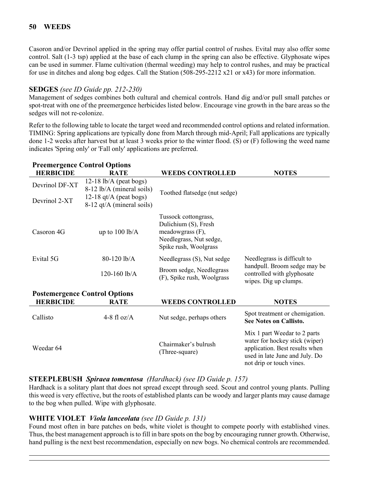Casoron and/or Devrinol applied in the spring may offer partial control of rushes. Evital may also offer some control. Salt (1-3 tsp) applied at the base of each clump in the spring can also be effective. Glyphosate wipes can be used in summer. Flame cultivation (thermal weeding) may help to control rushes, and may be practical for use in ditches and along bog edges. Call the Station (508-295-2212 x21 or x43) for more information.

# **SEDGES** *(see ID Guide pp. 212-230)*

Management of sedges combines both cultural and chemical controls. Hand dig and/or pull small patches or spot-treat with one of the preemergence herbicides listed below. Encourage vine growth in the bare areas so the sedges will not re-colonize.

Refer to the following table to locate the target weed and recommended control options and related information. TIMING: Spring applications are typically done from March through mid-April; Fall applications are typically done 1-2 weeks after harvest but at least 3 weeks prior to the winter flood. (S) or (F) following the weed name indicates 'Spring only' or 'Fall only' applications are preferred.

| <b>Preemergence Control Options</b><br><b>HERBICIDE</b> | <b>RATE</b>                                           | <b>WEEDS CONTROLLED</b>                                                                                              | <b>NOTES</b>                                                                                                                                                   |
|---------------------------------------------------------|-------------------------------------------------------|----------------------------------------------------------------------------------------------------------------------|----------------------------------------------------------------------------------------------------------------------------------------------------------------|
| Devrinol DF-XT                                          | $12-18$ lb/A (peat bogs)<br>8-12 lb/A (mineral soils) | Toothed flatsedge (nut sedge)                                                                                        |                                                                                                                                                                |
| Devrinol 2-XT                                           | 12-18 $qt/A$ (peat bogs)<br>8-12 qt/A (mineral soils) |                                                                                                                      |                                                                                                                                                                |
| Casoron 4G                                              | up to $100$ lb/A                                      | Tussock cottongrass,<br>Dulichium (S), Fresh<br>meadowgrass (F),<br>Needlegrass, Nut sedge,<br>Spike rush, Woolgrass |                                                                                                                                                                |
| Evital 5G                                               | 80-120 lb/A                                           | Needlegrass (S), Nut sedge                                                                                           | Needlegrass is difficult to                                                                                                                                    |
|                                                         | 120-160 $lb/A$                                        | Broom sedge, Needlegrass<br>(F), Spike rush, Woolgrass                                                               | handpull. Broom sedge may be<br>controlled with glyphosate<br>wipes. Dig up clumps.                                                                            |
|                                                         | <b>Postemergence Control Options</b>                  |                                                                                                                      |                                                                                                                                                                |
| <b>HERBICIDE</b>                                        | <b>RATE</b>                                           | <b>WEEDS CONTROLLED</b>                                                                                              | <b>NOTES</b>                                                                                                                                                   |
| Callisto                                                | 4-8 fl $oz/A$                                         | Nut sedge, perhaps others                                                                                            | Spot treatment or chemigation.<br><b>See Notes on Callisto.</b>                                                                                                |
| Weedar 64                                               |                                                       | Chairmaker's bulrush<br>(Three-square)                                                                               | Mix 1 part Weedar to 2 parts<br>water for hockey stick (wiper)<br>application. Best results when<br>used in late June and July. Do<br>not drip or touch vines. |

#### **STEEPLEBUSH** *Spiraea tomentosa**(Hardhack) (see ID Guide p. 157)*

Hardhack is a solitary plant that does not spread except through seed. Scout and control young plants. Pulling this weed is very effective, but the roots of established plants can be woody and larger plants may cause damage to the bog when pulled. Wipe with glyphosate.

# **WHITE VIOLET** *Viola lanceolata (see ID Guide p. 131)*

Found most often in bare patches on beds, white violet is thought to compete poorly with established vines. Thus, the best management approach is to fill in bare spots on the bog by encouraging runner growth. Otherwise, hand pulling is the next best recommendation, especially on new bogs. No chemical controls are recommended.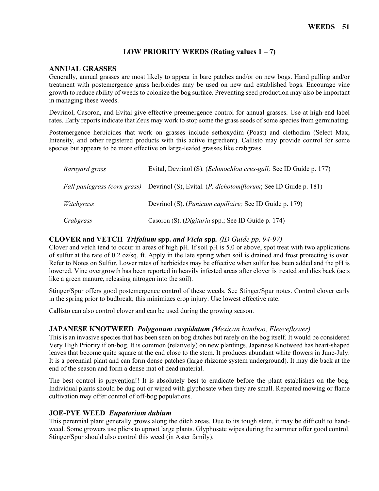### **LOW PRIORITY WEEDS (Rating values 1 – 7)**

#### **ANNUAL GRASSES**

Generally, annual grasses are most likely to appear in bare patches and/or on new bogs. Hand pulling and/or treatment with postemergence grass herbicides may be used on new and established bogs. Encourage vine growth to reduce ability of weeds to colonize the bog surface. Preventing seed production may also be important in managing these weeds.

Devrinol, Casoron, and Evital give effective preemergence control for annual grasses. Use at high-end label rates. Early reports indicate that Zeus may work to stop some the grass seeds of some species from germinating.

Postemergence herbicides that work on grasses include sethoxydim (Poast) and clethodim (Select Max, Intensity, and other registered products with this active ingredient). Callisto may provide control for some species but appears to be more effective on large-leafed grasses like crabgrass.

| Barnyard grass | Evital, Devrinol (S). ( <i>Echinochloa crus-gall</i> ; See ID Guide p. 177)                  |  |  |  |
|----------------|----------------------------------------------------------------------------------------------|--|--|--|
|                | Fall panicgrass (corn grass) Devrinol (S), Evital. (P. dichotomiflorum; See ID Guide p. 181) |  |  |  |
| Witchgrass     | Devrinol (S). ( <i>Panicum capillaire</i> ; See ID Guide p. 179)                             |  |  |  |
| Crabgrass      | Casoron (S). (Digitaria spp.; See ID Guide p. 174)                                           |  |  |  |

#### **CLOVER and VETCH** *Trifolium* **spp.** *and Vicia* **spp***. (ID Guide pp. 94-97)*

Clover and vetch tend to occur in areas of high pH. If soil pH is 5.0 or above, spot treat with two applications of sulfur at the rate of 0.2 oz/sq. ft. Apply in the late spring when soil is drained and frost protecting is over. Refer to Notes on Sulfur. Lower rates of herbicides may be effective when sulfur has been added and the pH is lowered. Vine overgrowth has been reported in heavily infested areas after clover is treated and dies back (acts like a green manure, releasing nitrogen into the soil).

Stinger/Spur offers good postemergence control of these weeds. See Stinger/Spur notes. Control clover early in the spring prior to budbreak; this minimizes crop injury. Use lowest effective rate.

Callisto can also control clover and can be used during the growing season.

#### **JAPANESE KNOTWEED** *Polygonum cuspidatum (Mexican bamboo, Fleeceflower)*

This is an invasive species that has been seen on bog ditches but rarely on the bog itself. It would be considered Very High Priority if on-bog. It is common (relatively) on new plantings. Japanese Knotweed has heart-shaped leaves that become quite square at the end close to the stem. It produces abundant white flowers in June-July. It is a perennial plant and can form dense patches (large rhizome system underground). It may die back at the end of the season and form a dense mat of dead material.

The best control is prevention!! It is absolutely best to eradicate before the plant establishes on the bog. Individual plants should be dug out or wiped with glyphosate when they are small. Repeated mowing or flame cultivation may offer control of off-bog populations.

#### **JOE-PYE WEED** *Eupatorium dubium*

This perennial plant generally grows along the ditch areas. Due to its tough stem, it may be difficult to handweed. Some growers use pliers to uproot large plants. Glyphosate wipes during the summer offer good control. Stinger/Spur should also control this weed (in Aster family).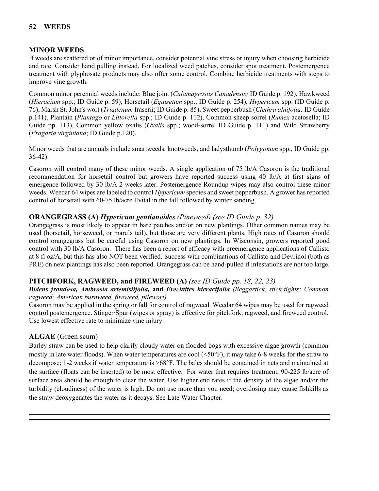# **MINOR WEEDS**

If weeds are scattered or of minor importance, consider potential vine stress or injury when choosing herbicide and rate. Consider hand pulling instead. For localized weed patches, consider spot treatment. Postemergence treatment with glyphosate products may also offer some control. Combine herbicide treatments with steps to improve vine growth.<br>Common minor perennial weeds include: Blue joint (*Calamagrostis Canadensis*; *ID Guide p. 192*), Hawkweed

(*Hieracium* spp.; ID Guide p. 59), Horsetail (*Equisetum* spp.; ID Guide p. 254), *Hypericum* spp. (ID Guide p. 76), Marsh St. John's wort (*Triadenum* fraserii; ID Guide p. 85), Sweet pepperbush (*Clethra alnifolia;* ID Guide p.141), Plantain (*Plantago* or *Littorella* spp.; ID Guide p. 112), Common sheep sorrel (*Rumex* acetosella; ID Guide pp. 113), Common yellow oxalis (*Oxalis* spp.; wood-sorrel ID Guide p. 111) and Wild Strawberry (*Fragaria virginiana*; ID Guide p.120).

Minor weeds that are annuals include smartweeds, knotweeds, and ladysthumb (*Polygonum* spp., ID Guide pp. 36-42).

Casoron will control many of these minor weeds. A single application of 75 lb/A Casoron is the traditional recommendation for horsetail control but growers have reported success using 40 lb/A at first signs of emergence followed by 30 lb/A 2 weeks later. Postemergence Roundup wipes may also control these minor weeds. Weedar 64 wipes are labeled to control *Hypericum* species and sweet pepperbush. A grower has reported control of horsetail with 60-75 lb/acre Evital in the fall followed by winter sanding.

# **ORANGEGRASS (A)** *Hypericum gentianoides (Pineweed) (see ID Guide p. 32)*

Orangegrass is most likely to appear in bare patches and/or on new plantings. Other common names may be used (horsetail, horseweed, or mare's tail), but those are very different plants. High rates of Casoron should control orangegrass but be careful using Casoron on new plantings. In Wisconsin, growers reported good control with 30 lb/A Casoron. There has been a report of efficacy with preemergence applications of Callisto at 8 fl oz/A, but this has also NOT been verified. Success with combinations of Callisto and Devrinol (both as PRE) on new plantings has also been reported. Orangegrass can be hand-pulled if infestations are not too large.

#### **PITCHFORK, RAGWEED, and FIREWEED (A)** *(see ID Guide pp. 18, 22, 23)*

#### *Bidens frondosa, Ambrosia artemisiifolia,* **and** *Erechtites hieracifolia (Beggartick, stick-tights; Common ragweed; American burnweed, fireweed, pilewort)*

Casoron may be applied in the spring or fall for control of ragweed. Weedar 64 wipes may be used for ragweed control postemergence. Stinger/Spur (wipes or spray) is effective for pitchfork, ragweed, and fireweed control. Use lowest effective rate to minimize vine injury.

#### **ALGAE** (Green scum)

Barley straw can be used to help clarify cloudy water on flooded bogs with excessive algae growth (common mostly in late water floods). When water temperatures are cool (<50°F), it may take 6-8 weeks for the straw to decompose; 1-2 weeks if water temperature is >68°F. The bales should be contained in nets and maintained at the surface (floats can be inserted) to be most effective. For water that requires treatment, 90-225 lb/acre of surface area should be enough to clear the water. Use higher end rates if the density of the algae and/or the turbidity (cloudiness) of the water is high. Do not use more than you need; overdosing may cause fishkills as the straw deoxygenates the water as it decays. See Late Water Chapter.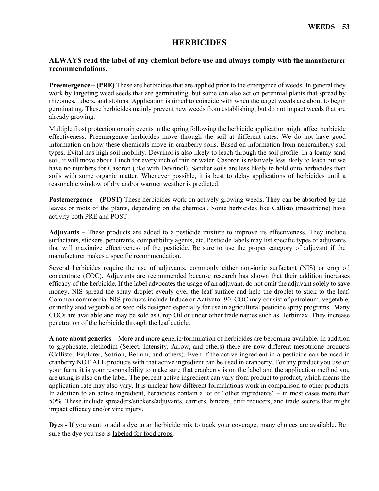# **HERBICIDES**

#### **ALWAYS read the label of any chemical before use and always comply with the manufacturer recommendations.**

**Preemergence – (PRE)** These are herbicides that are applied prior to the emergence of weeds. In general they work by targeting weed seeds that are germinating, but some can also act on perennial plants that spread by rhizomes, tubers, and stolons. Application is timed to coincide with when the target weeds are about to begin germinating. These herbicides mainly prevent new weeds from establishing, but do not impact weeds that are already growing.

Multiple frost protection or rain events in the spring following the herbicide application might affect herbicide effectiveness. Preemergence herbicides move through the soil at different rates. We do not have good information on how these chemicals move in cranberry soils. Based on information from noncranberry soil types, Evital has high soil mobility. Devrinol is also likely to leach through the soil profile. In a loamy sand soil, it will move about 1 inch for every inch of rain or water. Casoron is relatively less likely to leach but we have no numbers for Casoron (like with Devrinol). Sandier soils are less likely to hold onto herbicides than soils with some organic matter. Whenever possible, it is best to delay applications of herbicides until a reasonable window of dry and/or warmer weather is predicted.

**Postemergence – (POST)** These herbicides work on actively growing weeds. They can be absorbed by the leaves or roots of the plants, depending on the chemical. Some herbicides like Callisto (mesotrione) have activity both PRE and POST.

**Adjuvants –** These products are added to a pesticide mixture to improve its effectiveness. They include surfactants, stickers, penetrants, compatibility agents, etc. Pesticide labels may list specific types of adjuvants that will maximize effectiveness of the pesticide. Be sure to use the proper category of adjuvant if the manufacturer makes a specific recommendation.

Several herbicides require the use of adjuvants, commonly either non-ionic surfactant (NIS) or crop oil concentrate (COC). Adjuvants are recommended because research has shown that their addition increases efficacy of the herbicide. If the label advocates the usage of an adjuvant, do not omit the adjuvant solely to save money. NIS spread the spray droplet evenly over the leaf surface and help the droplet to stick to the leaf. Common commercial NIS products include Induce or Activator 90. COC may consist of petroleum, vegetable, or methylated vegetable or seed oils designed especially for use in agricultural pesticide spray programs. Many COCs are available and may be sold as Crop Oil or under other trade names such as Herbimax. They increase penetration of the herbicide through the leaf cuticle.

**A note about generics** – More and more generic/formulation of herbicides are becoming available. In addition to glyphosate, clethodim (Select, Intensity, Arrow, and others) there are now different mesotrione products (Callisto, Explorer, Sotrion, Bellum, and others). Even if the active ingredient in a pesticide can be used in cranberry NOT ALL products with that active ingredient can be used in cranberry. For any product you use on your farm, it is your responsibility to make sure that cranberry is on the label and the application method you are using is also on the label. The percent active ingredient can vary from product to product, which means the application rate may also vary. It is unclear how different formulations work in comparison to other products. In addition to an active ingredient, herbicides contain a lot of "other ingredients" – in most cases more than 50%. These include spreaders/stickers/adjuvants, carriers, binders, drift reducers, and trade secrets that might impact efficacy and/or vine injury.

**Dyes** - If you want to add a dye to an herbicide mix to track your coverage, many choices are available. Be sure the dye you use is labeled for food crops.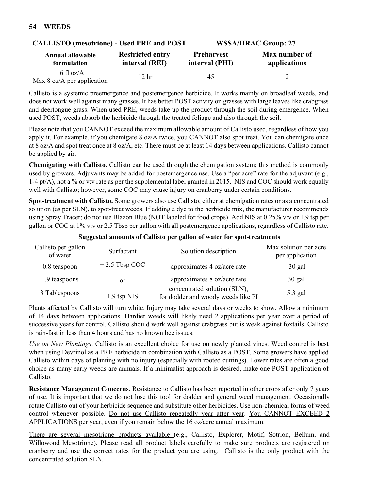| CALLISTO (INESOLIDINE) - OSEG I INL. ANGLE OST                                      |       |                                     | WOOA/HINAU GIUUD. 47          |
|-------------------------------------------------------------------------------------|-------|-------------------------------------|-------------------------------|
| <b>Restricted entry</b><br>Annual allowable<br>interval (REI)<br><b>formulation</b> |       | <b>Preharvest</b><br>interval (PHI) | Max number of<br>applications |
| $16 \text{ fl oz/A}$<br>Max $8 \text{ oz/A}$ per application                        | 12 hr | 45                                  |                               |

**CALLISTO (mesotrione) - Used PRE and POST WSSA/HRAC Group: 27**

Callisto is a systemic preemergence and postemergence herbicide. It works mainly on broadleaf weeds, and does not work well against many grasses. It has better POST activity on grasses with large leaves like crabgrass and deertongue grass. When used PRE, weeds take up the product through the soil during emergence. When used POST, weeds absorb the herbicide through the treated foliage and also through the soil.

Please note that you CANNOT exceed the maximum allowable amount of Callisto used, regardless of how you apply it. For example, if you chemigate 8 oz/A twice, you CANNOT also spot treat. You can chemigate once at 8 oz/A and spot treat once at 8 oz/A, etc. There must be at least 14 days between applications. Callisto cannot be applied by air.

**Chemigating with Callisto.** Callisto can be used through the chemigation system; this method is commonly used by growers. Adjuvants may be added for postemergence use. Use a "per acre" rate for the adjuvant (e.g., 1-4 pt/A), not a % or v:v rate as per the supplemental label granted in 2015. NIS and COC should work equally well with Callisto; however, some COC may cause injury on cranberry under certain conditions.

**Spot-treatment with Callisto.** Some growers also use Callisto, either at chemigation rates or as a concentrated solution (as per SLN), to spot-treat weeds. If adding a dye to the herbicide mix, the manufacturer recommends using Spray Tracer; do not use Blazon Blue (NOT labeled for food crops). Add NIS at 0.25% v:v or 1.9 tsp per gallon or COC at 1% v:v or 2.5 Tbsp per gallon with all postemergence applications, regardless of Callisto rate.

| Callisto per gallon<br>of water | Surfactant      | Solution description                                               | Max solution per acre<br>per application |
|---------------------------------|-----------------|--------------------------------------------------------------------|------------------------------------------|
| 0.8 teaspoon                    | $+2.5$ Tbsp COC | approximates 4 oz/acre rate                                        | $30$ gal                                 |
| 1.9 teaspoons                   | or              | approximates 8 oz/acre rate                                        | $30$ gal                                 |
| 3 Tablespoons                   | $1.9$ tsp NIS   | concentrated solution (SLN),<br>for dodder and woody weeds like PI | 5.3 gal                                  |

#### **Suggested amounts of Callisto per gallon of water for spot-treatments**

Plants affected by Callisto will turn white. Injury may take several days or weeks to show. Allow a minimum of 14 days between applications. Hardier weeds will likely need 2 applications per year over a period of successive years for control. Callisto should work well against crabgrass but is weak against foxtails. Callisto is rain-fast in less than 4 hours and has no known bee issues.

*Use on New Plantings*. Callisto is an excellent choice for use on newly planted vines. Weed control is best when using Devrinol as a PRE herbicide in combination with Callisto as a POST. Some growers have applied Callisto within days of planting with no injury (especially with rooted cuttings). Lower rates are often a good choice as many early weeds are annuals. If a minimalist approach is desired, make one POST application of Callisto.

**Resistance Management Concerns**. Resistance to Callisto has been reported in other crops after only 7 years of use. It is important that we do not lose this tool for dodder and general weed management. Occasionally rotate Callisto out of your herbicide sequence and substitute other herbicides. Use non-chemical forms of weed control whenever possible. Do not use Callisto repeatedly year after year. You CANNOT EXCEED 2 APPLICATIONS per year, even if you remain below the 16 oz/acre annual maximum.

There are several mesotrione products available (e.g., Callisto, Explorer, Motif, Sotrion, Bellum, and Willowood Mesotrione). Please read all product labels carefully to make sure products are registered on cranberry and use the correct rates for the product you are using. Callisto is the only product with the concentrated solution SLN.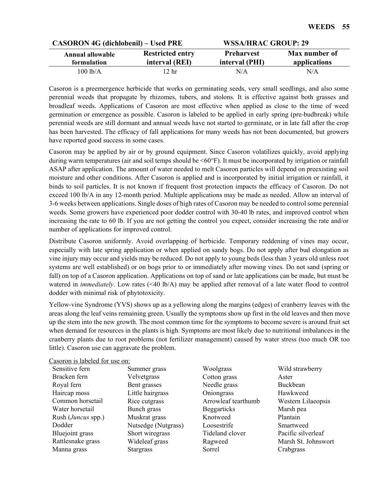| <b>CASORON 4G (dichlobenil) – Used PRE</b> |                                           | <b>WSSA/HRAC GROUP: 29</b>          |                               |  |
|--------------------------------------------|-------------------------------------------|-------------------------------------|-------------------------------|--|
| Annual allowable<br>formulation            | <b>Restricted entry</b><br>interval (REI) | <b>Preharvest</b><br>interval (PHI) | Max number of<br>applications |  |
| 100 lb/A                                   | 2 <sub>hr</sub>                           | N/A                                 | N/A                           |  |

Casoron is a preemergence herbicide that works on germinating seeds, very small seedlings, and also some perennial weeds that propagate by rhizomes, tubers, and stolons. It is effective against both grasses and broadleaf weeds. Applications of Casoron are most effective when applied as close to the time of weed germination or emergence as possible. Casoron is labeled to be applied in early spring (pre-budbreak) while perennial weeds are still dormant and annual weeds have not started to germinate, or in late fall after the crop has been harvested. The efficacy of fall applications for many weeds has not been documented, but growers have reported good success in some cases.

Casoron may be applied by air or by ground equipment. Since Casoron volatilizes quickly, avoid applying during warm temperatures (air and soil temps should be <60°F). It must be incorporated by irrigation or rainfall ASAP after application. The amount of water needed to melt Casoron particles will depend on preexisting soil moisture and other conditions. After Casoron is applied and is incorporated by initial irrigation or rainfall, it binds to soil particles. It is not known if frequent frost protection impacts the efficacy of Casoron. Do not exceed 100 lb/A in any 12-month period. Multiple applications may be made as needed. Allow an interval of 3-6 weeks between applications. Single doses of high rates of Casoron may be needed to control some perennial weeds. Some growers have experienced poor dodder control with 30-40 lb rates, and improved control when increasing the rate to 60 lb. If you are not getting the control you expect, consider increasing the rate and/or number of applications for improved control.

Distribute Casoron uniformly. Avoid overlapping of herbicide. Temporary reddening of vines may occur, especially with late spring application or when applied on sandy bogs. Do not apply after bud elongation as vine injury may occur and yields may be reduced. Do not apply to young beds (less than 3 years old unless root systems are well established) or on bogs prior to or immediately after mowing vines. Do not sand (spring or fall) on top of a Casoron application. Applications on top of sand or late applications can be made, but must be watered in *immediately*. Low rates (<40 lb/A) may be applied after removal of a late water flood to control dodder with minimal risk of phytotoxicity.

Yellow-vine Syndrome (YVS) shows up as a yellowing along the margins (edges) of cranberry leaves with the areas along the leaf veins remaining green. Usually the symptoms show up first in the old leaves and then move up the stem into the new growth. The most common time for the symptoms to become severe is around fruit set when demand for resources in the plants is high. Symptoms are most likely due to nutritional imbalances in the cranberry plants due to root problems (not fertilizer management) caused by water stress (too much OR too little). Casoron use can aggravate the problem.

| Lasoron is fabeled for use on. |                     |                     |                     |
|--------------------------------|---------------------|---------------------|---------------------|
| Sensitive fern                 | Summer grass        | Woolgrass           | Wild strawberry     |
| Bracken fern                   | Velvetgrass         | Cotton grass        | Aster               |
| Royal fern                     | Bent grasses        | Needle grass        | Buckbean            |
| Haircap moss                   | Little hairgrass    | Oniongrass          | Hawkweed            |
| Common horsetail               | Rice cutgrass       | Arrowleaf tearthumb | Western Lilaeopsis  |
| Water horsetail                | Bunch grass         | <b>Beggarticks</b>  | Marsh pea           |
| Rush ( <i>Juncus</i> spp.)     | Muskrat grass       | Knotweed            | Plantain            |
| Dodder                         | Nutsedge (Nutgrass) | Loosestrife         | Smartweed           |
| Bluejoint grass                | Short wiregrass     | Tideland clover     | Pacific silverleaf  |
| Rattlesnake grass              | Wideleaf grass      | Ragweed             | Marsh St. Johnswort |
| Manna grass                    | <b>Stargrass</b>    | Sorrel              | Crabgrass           |
|                                |                     |                     |                     |

#### Casoron is labeled for use on: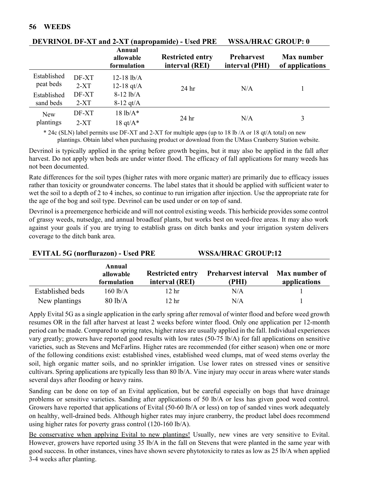|             |        | <b>Annual</b><br>allowable<br>formulation | <b>Restricted entry</b><br>interval (REI) | <b>Preharvest</b><br>interval (PHI) | Max number<br>of applications |
|-------------|--------|-------------------------------------------|-------------------------------------------|-------------------------------------|-------------------------------|
| Established | DF-XT  | $12-18$ lb/A                              |                                           |                                     |                               |
| peat beds   | $2-XT$ | 12-18 $qt/A$                              | 24 hr                                     | N/A                                 |                               |
| Established | DF-XT  | $8-12$ lb/A                               |                                           |                                     |                               |
| sand beds   | $2-XT$ | $8-12$ qt/A                               |                                           |                                     |                               |
| New         | DF-XT  | $18 lb/A*$                                |                                           | N/A                                 |                               |
| plantings   | $2-XT$ | 18 qt/ $A^*$                              | 24 <sub>hr</sub>                          |                                     | 3                             |

# **DEVRINOL DF-XT and 2-XT (napropamide) - Used PRE WSSA/HRAC GROUP: 0**

\* 24c (SLN) label permits use DF-XT and 2-XT for multiple apps (up to 18 lb /A or 18 qt/A total) on new plantings. Obtain label when purchasing product or download from the UMass Cranberry Station website.

Devrinol is typically applied in the spring before growth begins, but it may also be applied in the fall after harvest. Do not apply when beds are under winter flood. The efficacy of fall applications for many weeds has not been documented.

Rate differences for the soil types (higher rates with more organic matter) are primarily due to efficacy issues rather than toxicity or groundwater concerns. The label states that it should be applied with sufficient water to wet the soil to a depth of 2 to 4 inches, so continue to run irrigation after injection. Use the appropriate rate for the age of the bog and soil type. Devrinol can be used under or on top of sand.

Devrinol is a preemergence herbicide and will not control existing weeds. This herbicide provides some control of grassy weeds, nutsedge, and annual broadleaf plants, but works best on weed-free areas. It may also work against your goals if you are trying to establish grass on ditch banks and your irrigation system delivers coverage to the ditch bank area.

| $E$ $\overline{E}$ $\overline{E}$ $\overline{E}$ $\overline{E}$ $\overline{E}$ $\overline{E}$ $\overline{E}$ $\overline{E}$ $\overline{E}$ $\overline{E}$ $\overline{E}$ $\overline{E}$ $\overline{E}$ $\overline{E}$ $\overline{E}$ $\overline{E}$ $\overline{E}$ $\overline{E}$ $\overline{E}$ $\overline{E}$ $\overline{E}$ $\overline{E}$ $\overline{E}$ $\overline{E}$ |                                    |                                           | wood near on you and               |                               |  |
|-----------------------------------------------------------------------------------------------------------------------------------------------------------------------------------------------------------------------------------------------------------------------------------------------------------------------------------------------------------------------------|------------------------------------|-------------------------------------------|------------------------------------|-------------------------------|--|
|                                                                                                                                                                                                                                                                                                                                                                             | Annual<br>allowable<br>formulation | <b>Restricted entry</b><br>interval (REI) | <b>Preharvest interval</b><br>(PHI | Max number of<br>applications |  |
| Established beds                                                                                                                                                                                                                                                                                                                                                            | $160$ lb/A                         | 12 hr                                     | N/A                                |                               |  |
| New plantings                                                                                                                                                                                                                                                                                                                                                               | $80$ lb/A                          | 12 hr                                     | N/A                                |                               |  |

**EVITAL 5G (norflurazon) - Used PRE WSSA/HRAC GROUP:12**

Apply Evital 5G as a single application in the early spring after removal of winter flood and before weed growth resumes OR in the fall after harvest at least 2 weeks before winter flood. Only one application per 12-month period can be made. Compared to spring rates, higher rates are usually applied in the fall. Individual experiences vary greatly; growers have reported good results with low rates (50-75 lb/A) for fall applications on sensitive varieties, such as Stevens and McFarlins. Higher rates are recommended (for either season) when one or more of the following conditions exist: established vines, established weed clumps, mat of weed stems overlay the soil, high organic matter soils, and no sprinkler irrigation. Use lower rates on stressed vines or sensitive cultivars. Spring applications are typically less than 80 lb/A. Vine injury may occur in areas where water stands several days after flooding or heavy rains.

Sanding can be done on top of an Evital application, but be careful especially on bogs that have drainage problems or sensitive varieties. Sanding after applications of 50 lb/A or less has given good weed control. Growers have reported that applications of Evital (50-60 lb/A or less) on top of sanded vines work adequately on healthy, well-drained beds. Although higher rates may injure cranberry, the product label does recommend using higher rates for poverty grass control (120-160 lb/A).

Be conservative when applying Evital to new plantings! Usually, new vines are very sensitive to Evital. However, growers have reported using 35 lb/A in the fall on Stevens that were planted in the same year with good success. In other instances, vines have shown severe phytotoxicity to rates as low as 25 lb/A when applied 3-4 weeks after planting.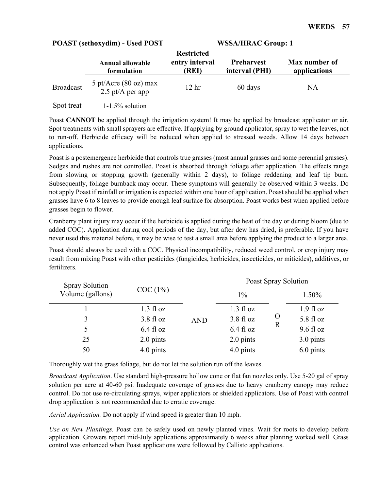| <b>POAST</b> (sethoxydim) - Used POST |                                                     | <b>WSSA/HRAC Group: 1</b>                    |                                     |                               |  |
|---------------------------------------|-----------------------------------------------------|----------------------------------------------|-------------------------------------|-------------------------------|--|
|                                       | Annual allowable<br>formulation                     | <b>Restricted</b><br>entry interval<br>(REI) | <b>Preharvest</b><br>interval (PHI) | Max number of<br>applications |  |
| <b>Broadcast</b>                      | 5 pt/Acre $(80 \text{ oz})$ max<br>2.5 pt/A per app | 12 <sub>hr</sub>                             | 60 days                             | NA                            |  |
| Spot treat                            | $1-1.5\%$ solution                                  |                                              |                                     |                               |  |

Poast **CANNOT** be applied through the irrigation system! It may be applied by broadcast applicator or air. Spot treatments with small sprayers are effective. If applying by ground applicator, spray to wet the leaves, not to run-off. Herbicide efficacy will be reduced when applied to stressed weeds. Allow 14 days between applications.

Poast is a postemergence herbicide that controls true grasses (most annual grasses and some perennial grasses). Sedges and rushes are not controlled. Poast is absorbed through foliage after application. The effects range from slowing or stopping growth (generally within 2 days), to foliage reddening and leaf tip burn. Subsequently, foliage burnback may occur. These symptoms will generally be observed within 3 weeks. Do not apply Poast if rainfall or irrigation is expected within one hour of application. Poast should be applied when grasses have 6 to 8 leaves to provide enough leaf surface for absorption. Poast works best when applied before grasses begin to flower.

Cranberry plant injury may occur if the herbicide is applied during the heat of the day or during bloom (due to added COC). Application during cool periods of the day, but after dew has dried, is preferable. If you have never used this material before, it may be wise to test a small area before applying the product to a larger area.

Poast should always be used with a COC. Physical incompatibility, reduced weed control, or crop injury may result from mixing Poast with other pesticides (fungicides, herbicides, insecticides, or miticides), additives, or fertilizers.

| <b>Spray Solution</b> |                     | Poast Spray Solution              |                     |             |                     |
|-----------------------|---------------------|-----------------------------------|---------------------|-------------|---------------------|
| Volume (gallons)      | COC(1%)             |                                   |                     |             | 1.50%               |
|                       | $1.3 \text{ fl oz}$ | $3.8 \text{ fl oz}$<br><b>AND</b> | $1.3 \text{ fl oz}$ |             | $1.9$ fl oz         |
| 3                     |                     |                                   | $3.8 \text{ fl oz}$ | $\Omega$    | $5.8 \text{ fl oz}$ |
| 5                     | $6.4$ fl oz         |                                   | $6.4$ fl oz         | $\mathbf R$ | $9.6 \text{ fl oz}$ |
| 25                    | 2.0 pints           |                                   | 2.0 pints           |             | 3.0 pints           |
| 50                    | 4.0 pints           |                                   | 4.0 pints           |             | 6.0 pints           |

Thoroughly wet the grass foliage, but do not let the solution run off the leaves.

*Broadcast Application*. Use standard high-pressure hollow cone or flat fan nozzles only. Use 5-20 gal of spray solution per acre at 40-60 psi. Inadequate coverage of grasses due to heavy cranberry canopy may reduce control. Do not use re-circulating sprays, wiper applicators or shielded applicators. Use of Poast with control drop application is not recommended due to erratic coverage.

*Aerial Application.* Do not apply if wind speed is greater than 10 mph.

*Use on New Plantings.* Poast can be safely used on newly planted vines. Wait for roots to develop before application. Growers report mid-July applications approximately 6 weeks after planting worked well. Grass control was enhanced when Poast applications were followed by Callisto applications.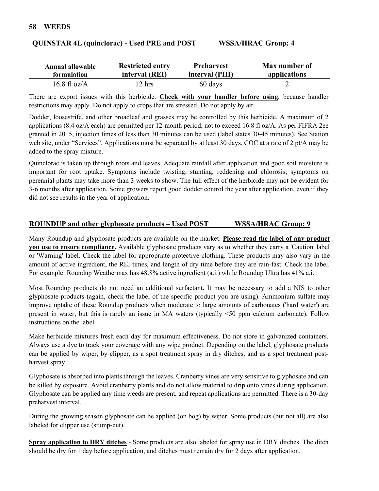| <b>Annual allowable</b> | <b>Restricted entry</b> | <b>Preharvest</b> | Max number of |
|-------------------------|-------------------------|-------------------|---------------|
| formulation             | interval (REI)          | interval (PHI)    | applications  |
| 16.8 fl oz/ $A$         | $12 \text{ hrs}$        | 60 days           |               |

#### **QUINSTAR 4L (quinclorac) - Used PRE and POST WSSA/HRAC Group: 4**

There are export issues with this herbicide. **Check with your handler before using**, because handler restrictions may apply. Do not apply to crops that are stressed. Do not apply by air.

Dodder, loosestrife, and other broadleaf and grasses may be controlled by this herbicide. A maximum of 2 applications (8.4 oz/A each) are permitted per 12-month period, not to exceed 16.8 fl oz/A. As per FIFRA 2ee granted in 2015, injection times of less than 30 minutes can be used (label states 30-45 minutes). See Station web site, under "Services". Applications must be separated by at least 30 days. COC at a rate of 2 pt/A may be added to the spray mixture.

Quinclorac is taken up through roots and leaves. Adequate rainfall after application and good soil moisture is important for root uptake. Symptoms include twisting, stunting, reddening and chlorosis; symptoms on perennial plants may take more than 3 weeks to show. The full effect of the herbicide may not be evident for 3-6 months after application. Some growers report good dodder control the year after application, even if they did not see results in the year of application.

#### **ROUNDUP and other glyphosate products – Used POST WSSA/HRAC Group: 9**

Many Roundup and glyphosate products are available on the market. **Please read the label of any product you use to ensure compliance.** Available glyphosate products vary as to whether they carry a 'Caution' label or 'Warning' label. Check the label for appropriate protective clothing. These products may also vary in the amount of active ingredient, the REI times, and length of dry time before they are rain-fast. Check the label. For example: Roundup Weathermax has 48.8% active ingredient (a.i.) while Roundup Ultra has 41% a.i.

Most Roundup products do not need an additional surfactant. It may be necessary to add a NIS to other glyphosate products (again, check the label of the specific product you are using). Ammonium sulfate may improve uptake of these Roundup products when moderate to large amounts of carbonates ('hard water') are present in water, but this is rarely an issue in MA waters (typically <50 ppm calcium carbonate). Follow instructions on the label.

Make herbicide mixtures fresh each day for maximum effectiveness. Do not store in galvanized containers. Always use a dye to track your coverage with any wipe product. Depending on the label, glyphosate products can be applied by wiper, by clipper, as a spot treatment spray in dry ditches, and as a spot treatment postharvest spray.

Glyphosate is absorbed into plants through the leaves. Cranberry vines are very sensitive to glyphosate and can be killed by exposure. Avoid cranberry plants and do not allow material to drip onto vines during application. Glyphosate can be applied any time weeds are present, and repeat applications are permitted. There is a 30-day preharvest interval.

During the growing season glyphosate can be applied (on bog) by wiper. Some products (but not all) are also labeled for clipper use (stump-cut).

**Spray application to DRY ditches** - Some products are also labeled for spray use in DRY ditches. The ditch should be dry for 1 day before application, and ditches must remain dry for 2 days after application.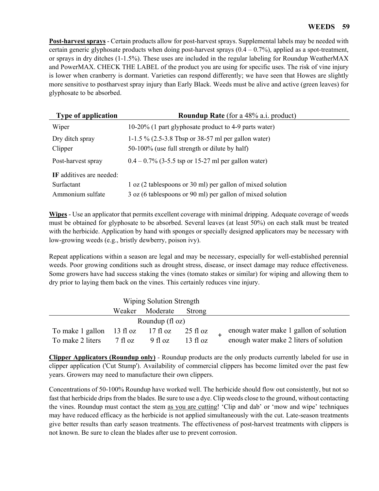**Post-harvest sprays** - Certain products allow for post-harvest sprays. Supplemental labels may be needed with certain generic glyphosate products when doing post-harvest sprays  $(0.4 - 0.7%)$ , applied as a spot-treatment, or sprays in dry ditches (1-1.5%). These uses are included in the regular labeling for Roundup WeatherMAX and PowerMAX. CHECK THE LABEL of the product you are using for specific uses. The risk of vine injury is lower when cranberry is dormant. Varieties can respond differently; we have seen that Howes are slightly more sensitive to postharvest spray injury than Early Black. Weeds must be alive and active (green leaves) for glyphosate to be absorbed.

| <b>Type of application</b>                                 | <b>Roundup Rate</b> (for a 48% a.i. product)                                                                             |
|------------------------------------------------------------|--------------------------------------------------------------------------------------------------------------------------|
| Wiper                                                      | 10-20% (1 part glyphosate product to 4-9 parts water)                                                                    |
| Dry ditch spray<br>Clipper                                 | 1-1.5 % (2.5-3.8 Tbsp or 38-57 ml per gallon water)<br>50-100% (use full strength or dilute by half)                     |
| Post-harvest spray                                         | $0.4 - 0.7\%$ (3-5.5 tsp or 15-27 ml per gallon water)                                                                   |
| IF additives are needed:<br>Surfactant<br>Ammonium sulfate | 1 oz (2 tablespoons or 30 ml) per gallon of mixed solution<br>3 oz (6 tablespoons or 90 ml) per gallon of mixed solution |

**Wipes** - Use an applicator that permits excellent coverage with minimal dripping. Adequate coverage of weeds must be obtained for glyphosate to be absorbed. Several leaves (at least 50%) on each stalk must be treated with the herbicide. Application by hand with sponges or specially designed applicators may be necessary with low-growing weeds (e.g., bristly dewberry, poison ivy).

Repeat applications within a season are legal and may be necessary, especially for well-established perennial weeds. Poor growing conditions such as drought stress, disease, or insect damage may reduce effectiveness. Some growers have had success staking the vines (tomato stakes or similar) for wiping and allowing them to dry prior to laying them back on the vines. This certainly reduces vine injury.

|                           |                   | Wiping Solution Strength |                    |  |                                        |
|---------------------------|-------------------|--------------------------|--------------------|--|----------------------------------------|
|                           | Weaker            | Moderate                 | Strong             |  |                                        |
| Roundup $(f \circ z)$     |                   |                          |                    |  |                                        |
| To make 1 gallon 13 fl oz |                   | 17 fl oz                 | $25 \text{ fl oz}$ |  | enough water make 1 gallon of solution |
| To make 2 liters          | $7 \text{ fl oz}$ | $9$ fl oz                | $13 \text{ fl oz}$ |  | enough water make 2 liters of solution |

**Clipper Applicators (Roundup only)** *-* Roundup products are the only products currently labeled for use in clipper application ('Cut Stump'). Availability of commercial clippers has become limited over the past few years. Growers may need to manufacture their own clippers.

Concentrations of 50-100% Roundup have worked well. The herbicide should flow out consistently, but not so fast that herbicide drips from the blades. Be sure to use a dye. Clip weeds close to the ground, without contacting the vines. Roundup must contact the stem as you are cutting! 'Clip and dab' or 'mow and wipe' techniques may have reduced efficacy as the herbicide is not applied simultaneously with the cut. Late-season treatments give better results than early season treatments. The effectiveness of post-harvest treatments with clippers is not known. Be sure to clean the blades after use to prevent corrosion.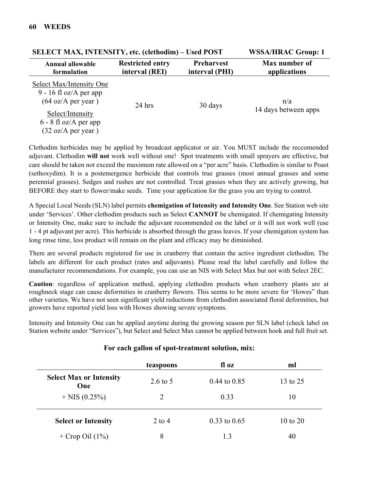| SELECT MAX, INTENSITY, etc. (cietnoaim) – Usea POST<br>WSSA/HKAU Group: 1                                                                               |                                           |                                     |                               |
|---------------------------------------------------------------------------------------------------------------------------------------------------------|-------------------------------------------|-------------------------------------|-------------------------------|
| Annual allowable<br>formulation                                                                                                                         | <b>Restricted entry</b><br>interval (REI) | <b>Preharvest</b><br>interval (PHI) | Max number of<br>applications |
| Select Max/Intensity One<br>9 - 16 fl oz/A per app<br>$(64 \text{ oz/A per year})$<br>Select/Intensity<br>$6 - 8$ fl oz/A per app<br>(32 oz/A per year) | $24$ hrs                                  | 30 days                             | n/a<br>14 days between apps   |

 $\mathbf{S}$ **ELECT MAY INTENSITY**,  $\mathbf{A} \times \mathbf{A} \mathbf{B} \times \mathbf{B}$  **Used POST** WSSA/HRAC Group: 1

Clethodim herbicides may be applied by broadcast applicator or air. You MUST include the reccomended adjuvant. Clethodim **will not** work well without one! Spot treatments with small sprayers are effective, but care should be taken not exceed the maximum rate allowed on a "per acre" basis. Clethodim is similar to Poast (sethoxydim). It is a postemergence herbicide that controls true grasses (most annual grasses and some perennial grasses). Sedges and rushes are not controlled. Treat grasses when they are actively growing, but BEFORE they start to flower/make seeds. Time your application for the grass you are trying to control.

A Special Local Needs (SLN) label permits **chemigation of Intensity and Intensity One**. See Station web site under 'Services'. Other clethodim products such as Select **CANNOT** be chemigated. If chemigating Intensity or Intensity One, make sure to include the adjuvant recommended on the label or it will not work well (use 1 - 4 pt adjuvant per acre). This herbicide is absorbed through the grass leaves. If your chemigation system has long rinse time, less product will remain on the plant and efficacy may be diminished.

There are several products registered for use in cranberry that contain the active ingredient clethodim. The labels are different for each product (rates and adjuvants). Please read the label carefully and follow the manufacturer recommendations. For example, you can use an NIS with Select Max but not with Select 2EC.

**Caution**: regardless of application method, applying clethodim products when cranberry plants are at roughneck stage can cause deformities in cranberry flowers. This seems to be more severe for 'Howes" than other varieties. We have not seen significant yield reductions from clethodim associated floral deformities, but growers have reported yield loss with Howes showing severe symptoms.

Intensity and Intensity One can be applied anytime during the growing season per SLN label (check label on Station website under "Services"), but Select and Select Max cannot be applied between hook and full fruit set.

|                                       | teaspoons | fl oz            | ml                  |
|---------------------------------------|-----------|------------------|---------------------|
| <b>Select Max or Intensity</b><br>One | 2.6 to 5  | $0.44$ to $0.85$ | 13 to 25            |
| $+$ NIS (0.25%)                       | 2         | 0.33             | 10                  |
| <b>Select or Intensity</b>            | $2$ to 4  | $0.33$ to $0.65$ | $10 \text{ to } 20$ |
| + Crop Oil $(1\%)$                    | 8         | 1.3              | 40                  |

#### **For each gallon of spot-treatment solution, mix:**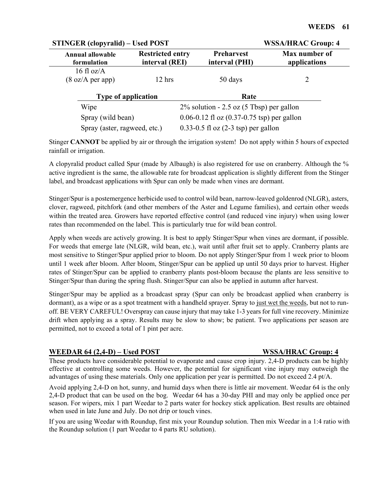| <b>STINGER (clopyralid) – Used POST</b> |                                                      |                                         | <b>WSSA/HRAC Group: 4</b>     |  |  |
|-----------------------------------------|------------------------------------------------------|-----------------------------------------|-------------------------------|--|--|
| <b>Annual allowable</b><br>formulation  | <b>Restricted entry</b><br>interval (REI)            | Preharvest<br>interval (PHI)            | Max number of<br>applications |  |  |
| 16 fl oz/ $A$                           |                                                      |                                         |                               |  |  |
| $(8 \text{ oz/A per app})$              | $12$ hrs                                             | 50 days                                 | 2                             |  |  |
| <b>Type of application</b>              |                                                      | Rate                                    |                               |  |  |
| Wipe                                    | $2\%$ solution - 2.5 oz (5 Tbsp) per gallon          |                                         |                               |  |  |
| Spray (wild bean)                       | 0.06-0.12 fl oz $(0.37-0.75 \text{ tsp})$ per gallon |                                         |                               |  |  |
| Spray (aster, ragweed, etc.)            |                                                      | $0.33-0.5$ fl oz $(2-3$ tsp) per gallon |                               |  |  |

Stinger **CANNOT** be applied by air or through the irrigation system! Do not apply within 5 hours of expected rainfall or irrigation.

A clopyralid product called Spur (made by Albaugh) is also registered for use on cranberry. Although the % active ingredient is the same, the allowable rate for broadcast application is slightly different from the Stinger label, and broadcast applications with Spur can only be made when vines are dormant.

Stinger/Spur is a postemergence herbicide used to control wild bean, narrow-leaved goldenrod (NLGR), asters, clover, ragweed, pitchfork (and other members of the Aster and Legume families), and certain other weeds within the treated area. Growers have reported effective control (and reduced vine injury) when using lower rates than recommended on the label. This is particularly true for wild bean control.

Apply when weeds are actively growing. It is best to apply Stinger/Spur when vines are dormant, if possible. For weeds that emerge late (NLGR, wild bean, etc.), wait until after fruit set to apply. Cranberry plants are most sensitive to Stinger/Spur applied prior to bloom. Do not apply Stinger/Spur from 1 week prior to bloom until 1 week after bloom. After bloom, Stinger/Spur can be applied up until 50 days prior to harvest. Higher rates of Stinger/Spur can be applied to cranberry plants post-bloom because the plants are less sensitive to Stinger/Spur than during the spring flush. Stinger/Spur can also be applied in autumn after harvest.

Stinger/Spur may be applied as a broadcast spray (Spur can only be broadcast applied when cranberry is dormant), as a wipe or as a spot treatment with a handheld sprayer. Spray to just wet the weeds, but not to runoff. BE VERY CAREFUL! Overspray can cause injury that may take 1-3 years for full vine recovery. Minimize drift when applying as a spray. Results may be slow to show; be patient. Two applications per season are permitted, not to exceed a total of 1 pint per acre.

#### **WEEDAR 64 (2,4-D) – Used POST WSSA/HRAC Group: 4**

These products have considerable potential to evaporate and cause crop injury. 2,4-D products can be highly effective at controlling some weeds. However, the potential for significant vine injury may outweigh the advantages of using these materials. Only one application per year is permitted. Do not exceed 2.4 pt/A.

Avoid applying 2,4-D on hot, sunny, and humid days when there is little air movement. Weedar 64 is the only 2,4-D product that can be used on the bog. Weedar 64 has a 30-day PHI and may only be applied once per season. For wipers, mix 1 part Weedar to 2 parts water for hockey stick application. Best results are obtained when used in late June and July. Do not drip or touch vines.

If you are using Weedar with Roundup, first mix your Roundup solution. Then mix Weedar in a 1:4 ratio with the Roundup solution (1 part Weedar to 4 parts RU solution).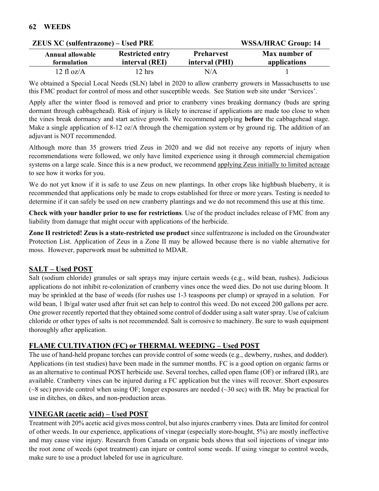| $E = 0.01$<br>$\overline{11}$          |                                           |                                     |                               |  |
|----------------------------------------|-------------------------------------------|-------------------------------------|-------------------------------|--|
| <b>Annual allowable</b><br>formulation | <b>Restricted entry</b><br>interval (REI) | <b>Preharvest</b><br>interval (PHI) | Max number of<br>applications |  |
| 12 fl $oz/A$                           | $12 \text{ hrs}$                          | N/A                                 |                               |  |

We obtained a Special Local Needs (SLN) label in 2020 to allow cranberry growers in Massachusetts to use this FMC product for control of moss and other susceptible weeds. See Station web site under 'Services'.

Apply after the winter flood is removed and prior to cranberry vines breaking dormancy (buds are spring dormant through cabbagehead). Risk of injury is likely to increase if applications are made too close to when the vines break dormancy and start active growth. We recommend applying **before** the cabbagehead stage. Make a single application of 8-12 oz/A through the chemigation system or by ground rig. The addition of an adjuvant is NOT recommended.

Although more than 35 growers tried Zeus in 2020 and we did not receive any reports of injury when recommendations were followed, we only have limited experience using it through commercial chemigation systems on a large scale. Since this is a new product, we recommend applying Zeus initially to limited acreage to see how it works for you.

We do not yet know if it is safe to use Zeus on new plantings. In other crops like highbush blueberry, it is recommended that applications only be made to crops established for three or more years. Testing is needed to determine if it can safely be used on new cranberry plantings and we do not recommend this use at this time.

**Check with your handler prior to use for restrictions**. Use of the product includes release of FMC from any liability from damage that might occur with applications of the herbicide.

**Zone II restricted! Zeus is a state-restricted use product** since sulfentrazone is included on the Groundwater Protection List. Application of Zeus in a Zone II may be allowed because there is no viable alternative for moss. However, paperwork must be submitted to MDAR.

# **SALT – Used POST**

Salt (sodium chloride) granules or salt sprays may injure certain weeds (e.g., wild bean, rushes). Judicious applications do not inhibit re-colonization of cranberry vines once the weed dies. Do not use during bloom. It may be sprinkled at the base of weeds (for rushes use 1-3 teaspoons per clump) or sprayed in a solution. For wild bean, 1 lb/gal water used after fruit set can help to control this weed. Do not exceed 200 gallons per acre. One grower recently reported that they obtained some control of dodder using a salt water spray. Use of calcium chloride or other types of salts is not recommended. Salt is corrosive to machinery. Be sure to wash equipment thoroughly after application.

# **FLAME CULTIVATION (FC) or THERMAL WEEDING – Used POST**

The use of hand-held propane torches can provide control of some weeds (e.g., dewberry, rushes, and dodder). Applications (in test studies) have been made in the summer months. FC is a good option on organic farms or as an alternative to continual POST herbicide use. Several torches, called open flame (OF) or infrared (IR), are available. Cranberry vines can be injured during a FC application but the vines will recover. Short exposures  $(\sim 8 \text{ sec})$  provide control when using OF; longer exposures are needed  $(\sim 30 \text{ sec})$  with IR. May be practical for use in ditches, on dikes, and non-production areas.

# **VINEGAR (acetic acid) – Used POST**

Treatment with 20% acetic acid gives moss control, but also injures cranberry vines. Data are limited for control of other weeds. In our experience, applications of vinegar (especially store-bought, 5%) are mostly ineffective and may cause vine injury. Research from Canada on organic beds shows that soil injections of vinegar into the root zone of weeds (spot treatment) can injure or control some weeds. If using vinegar to control weeds, make sure to use a product labeled for use in agriculture.

# **ZEUS XC (sulfentrazone) – Used PRE WSSA/HRAC Group: 14**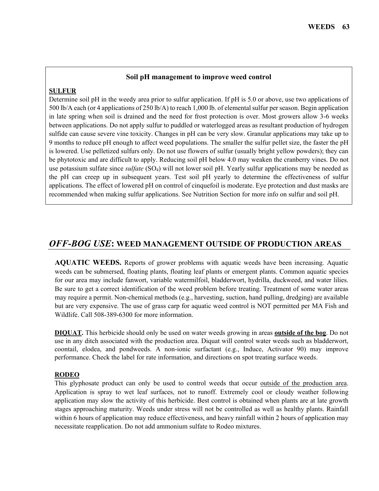#### **Soil pH management to improve weed control**

#### **SULFUR**

Determine soil pH in the weedy area prior to sulfur application. If pH is 5.0 or above, use two applications of 500 lb/A each (or 4 applications of 250 lb/A) to reach 1,000 lb. of elemental sulfur per season. Begin application in late spring when soil is drained and the need for frost protection is over. Most growers allow 3-6 weeks between applications. Do not apply sulfur to puddled or waterlogged areas as resultant production of hydrogen sulfide can cause severe vine toxicity. Changes in pH can be very slow. Granular applications may take up to 9 months to reduce pH enough to affect weed populations. The smaller the sulfur pellet size, the faster the pH is lowered. Use pelletized sulfurs only. Do not use flowers of sulfur (usually bright yellow powders); they can be phytotoxic and are difficult to apply. Reducing soil pH below 4.0 may weaken the cranberry vines. Do not use potassium sulfate since *sulfate* (SO4) will not lower soil pH. Yearly sulfur applications may be needed as the pH can creep up in subsequent years. Test soil pH yearly to determine the effectiveness of sulfur applications. The effect of lowered pH on control of cinquefoil is moderate. Eye protection and dust masks are recommended when making sulfur applications. See Nutrition Section for more info on sulfur and soil pH.

# *OFF-BOG USE***: WEED MANAGEMENT OUTSIDE OF PRODUCTION AREAS**

**AQUATIC WEEDS.** Reports of grower problems with aquatic weeds have been increasing. Aquatic weeds can be submersed, floating plants, floating leaf plants or emergent plants. Common aquatic species for our area may include fanwort, variable watermilfoil, bladderwort, hydrilla, duckweed, and water lilies. Be sure to get a correct identification of the weed problem before treating. Treatment of some water areas may require a permit. Non-chemical methods (e.g., harvesting, suction, hand pulling, dredging) are available but are very expensive. The use of grass carp for aquatic weed control is NOT permitted per MA Fish and Wildlife. Call 508-389-6300 for more information.

**DIQUAT.** This herbicide should only be used on water weeds growing in areas **outside of the bog**. Do not use in any ditch associated with the production area. Diquat will control water weeds such as bladderwort, coontail, elodea, and pondweeds. A non-ionic surfactant (e.g., Induce, Activator 90) may improve performance. Check the label for rate information, and directions on spot treating surface weeds.

#### **RODEO**

This glyphosate product can only be used to control weeds that occur outside of the production area. Application is spray to wet leaf surfaces, not to runoff. Extremely cool or cloudy weather following application may slow the activity of this herbicide. Best control is obtained when plants are at late growth stages approaching maturity. Weeds under stress will not be controlled as well as healthy plants. Rainfall within 6 hours of application may reduce effectiveness, and heavy rainfall within 2 hours of application may necessitate reapplication. Do not add ammonium sulfate to Rodeo mixtures.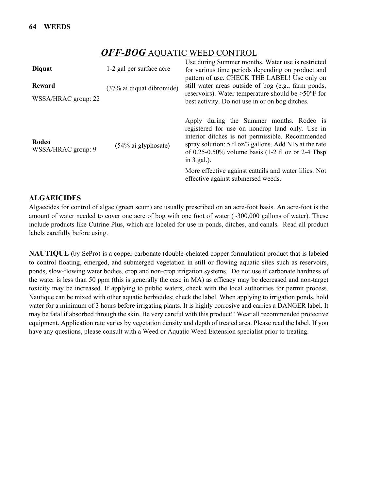# *OFF-BOG* AQUATIC WEED CONTROL

| <b>Diquat</b>               | 1-2 gal per surface acre  | Use during Summer months. Water use is restricted<br>for various time periods depending on product and<br>pattern of use. CHECK THE LABEL! Use only on                                                                                                                                              |  |
|-----------------------------|---------------------------|-----------------------------------------------------------------------------------------------------------------------------------------------------------------------------------------------------------------------------------------------------------------------------------------------------|--|
| Reward                      | (37% ai diquat dibromide) | still water areas outside of bog (e.g., farm ponds,<br>reservoirs). Water temperature should be $>50^{\circ}$ F for                                                                                                                                                                                 |  |
| WSSA/HRAC group: 22         |                           | best activity. Do not use in or on bog ditches.                                                                                                                                                                                                                                                     |  |
| Rodeo<br>WSSA/HRAC group: 9 | $(54\%$ ai glyphosate)    | Apply during the Summer months. Rodeo is<br>registered for use on noncrop land only. Use in<br>interior ditches is not permissible. Recommended<br>spray solution: 5 fl oz/3 gallons. Add NIS at the rate<br>of 0.25-0.50% volume basis $(1-2 \text{ fl oz or } 2-4 \text{ Tbsp})$<br>in $3$ gal.). |  |
|                             |                           | More effective against cattails and water lilies. Not<br>effective against submersed weeds.                                                                                                                                                                                                         |  |

#### **ALGAEICIDES**

Algaecides for control of algae (green scum) are usually prescribed on an acre-foot basis. An acre-foot is the amount of water needed to cover one acre of bog with one foot of water  $\sim$  300,000 gallons of water). These include products like Cutrine Plus, which are labeled for use in ponds, ditches, and canals. Read all product labels carefully before using.

**NAUTIQUE** (by SePro) is a copper carbonate (double-chelated copper formulation) product that is labeled to control floating, emerged, and submerged vegetation in still or flowing aquatic sites such as reservoirs, ponds, slow-flowing water bodies, crop and non-crop irrigation systems. Do not use if carbonate hardness of the water is less than 50 ppm (this is generally the case in MA) as efficacy may be decreased and non-target toxicity may be increased. If applying to public waters, check with the local authorities for permit process. Nautique can be mixed with other aquatic herbicides; check the label. When applying to irrigation ponds, hold water for a minimum of 3 hours before irrigating plants. It is highly corrosive and carries a DANGER label. It may be fatal if absorbed through the skin. Be very careful with this product!! Wear all recommended protective equipment. Application rate varies by vegetation density and depth of treated area. Please read the label. If you have any questions, please consult with a Weed or Aquatic Weed Extension specialist prior to treating.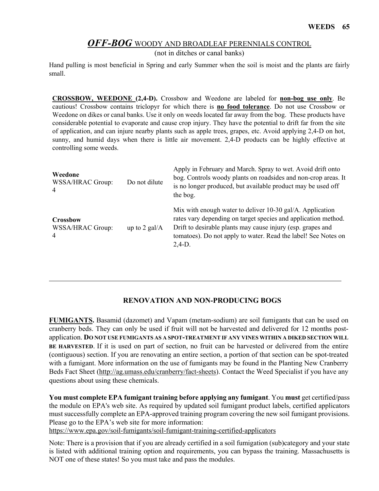# *OFF-BOG* WOODY AND BROADLEAF PERENNIALS CONTROL

(not in ditches or canal banks)

Hand pulling is most beneficial in Spring and early Summer when the soil is moist and the plants are fairly small.

**CROSSBOW, WEEDONE (2,4-D).** Crossbow and Weedone are labeled for **non-bog use only**. Be cautious! Crossbow contains triclopyr for which there is **no food tolerance**. Do not use Crossbow or Weedone on dikes or canal banks. Use it only on weeds located far away from the bog. These products have considerable potential to evaporate and cause crop injury. They have the potential to drift far from the site of application, and can injure nearby plants such as apple trees, grapes, etc. Avoid applying 2,4-D on hot, sunny, and humid days when there is little air movement. 2,4-D products can be highly effective at controlling some weeds.

| Weedone<br>WSSA/HRAC Group:<br>$\overline{4}$  | Do not dilute                 | Apply in February and March. Spray to wet. Avoid drift onto<br>bog. Controls woody plants on roadsides and non-crop areas. It<br>is no longer produced, but available product may be used off<br>the bog.                                                                |
|------------------------------------------------|-------------------------------|--------------------------------------------------------------------------------------------------------------------------------------------------------------------------------------------------------------------------------------------------------------------------|
| Crossbow<br>WSSA/HRAC Group:<br>$\overline{4}$ | up to $2$ gal/ $\overline{A}$ | Mix with enough water to deliver 10-30 gal/A. Application<br>rates vary depending on target species and application method.<br>Drift to desirable plants may cause injury (esp. grapes and<br>tomatoes). Do not apply to water. Read the label! See Notes on<br>$2,4-D.$ |

#### **RENOVATION AND NON-PRODUCING BOGS**

**FUMIGANTS.** Basamid (dazomet) and Vapam (metam-sodium) are soil fumigants that can be used on cranberry beds. They can only be used if fruit will not be harvested and delivered for 12 months postapplication. **DO NOT USE FUMIGANTS AS A SPOT-TREATMENT IF ANY VINES WITHIN A DIKED SECTION WILL BE HARVESTED**. If it is used on part of section, no fruit can be harvested or delivered from the entire (contiguous) section. If you are renovating an entire section, a portion of that section can be spot-treated with a fumigant. More information on the use of fumigants may be found in the Planting New Cranberry Beds Fact Sheet [\(http://ag.umass.edu/cranberry/fact-sheets\)](http://ag.umass.edu/cranberry/fact-sheets). Contact the Weed Specialist if you have any questions about using these chemicals.

**You must complete EPA fumigant training before applying any fumigant**. You **must** get certified/pass the module on EPA's web site. As required by updated soil fumigant product labels, certified applicators must successfully complete an EPA-approved training program covering the new soil fumigant provisions. Please go to the EPA's web site for more information:

<https://www.epa.gov/soil-fumigants/soil-fumigant-training-certified-applicators>

Note: There is a provision that if you are already certified in a soil fumigation (sub)category and your state is listed with additional training option and requirements, you can bypass the training. Massachusetts is NOT one of these states! So you must take and pass the modules.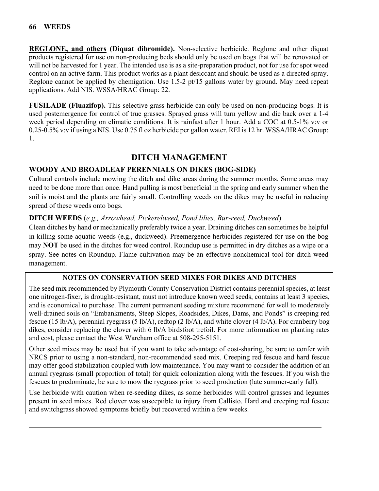**REGLONE, and others (Diquat dibromide).** Non-selective herbicide. Reglone and other diquat products registered for use on non-producing beds should only be used on bogs that will be renovated or will not be harvested for 1 year. The intended use is as a site-preparation product, not for use for spot weed control on an active farm. This product works as a plant desiccant and should be used as a directed spray. Reglone cannot be applied by chemigation. Use 1.5-2 pt/15 gallons water by ground. May need repeat applications. Add NIS. WSSA/HRAC Group: 22.

**FUSILADE (Fluazifop).** This selective grass herbicide can only be used on non-producing bogs. It is used postemergence for control of true grasses. Sprayed grass will turn yellow and die back over a 1-4 week period depending on climatic conditions. It is rainfast after 1 hour. Add a COC at 0.5-1% v:v or 0.25-0.5% v:v if using a NIS. Use 0.75 fl oz herbicide per gallon water. REI is 12 hr. WSSA/HRAC Group: 1.

# **DITCH MANAGEMENT**

# **WOODY AND BROADLEAF PERENNIALS ON DIKES (BOG-SIDE)**

Cultural controls include mowing the ditch and dike areas during the summer months. Some areas may need to be done more than once. Hand pulling is most beneficial in the spring and early summer when the soil is moist and the plants are fairly small. Controlling weeds on the dikes may be useful in reducing spread of these weeds onto bogs.

# **DITCH WEEDS** (*e.g., Arrowhead, Pickerelweed, Pond lilies, Bur-reed, Duckweed*)

Clean ditches by hand or mechanically preferably twice a year. Draining ditches can sometimes be helpful in killing some aquatic weeds (e.g., duckweed). Preemergence herbicides registered for use on the bog may **NOT** be used in the ditches for weed control. Roundup use is permitted in dry ditches as a wipe or a spray. See notes on Roundup. Flame cultivation may be an effective nonchemical tool for ditch weed management.

# **NOTES ON CONSERVATION SEED MIXES FOR DIKES AND DITCHES**

The seed mix recommended by Plymouth County Conservation District contains perennial species, at least one nitrogen-fixer, is drought-resistant, must not introduce known weed seeds, contains at least 3 species, and is economical to purchase. The current permanent seeding mixture recommend for well to moderately well-drained soils on "Embankments, Steep Slopes, Roadsides, Dikes, Dams, and Ponds" is creeping red fescue (15 lb/A), perennial ryegrass (5 lb/A), redtop (2 lb/A), and white clover (4 lb/A). For cranberry bog dikes, consider replacing the clover with 6 lb/A birdsfoot trefoil. For more information on planting rates and cost, please contact the West Wareham office at 508-295-5151.

Other seed mixes may be used but if you want to take advantage of cost-sharing, be sure to confer with NRCS prior to using a non-standard, non-recommended seed mix. Creeping red fescue and hard fescue may offer good stabilization coupled with low maintenance. You may want to consider the addition of an annual ryegrass (small proportion of total) for quick colonization along with the fescues. If you wish the fescues to predominate, be sure to mow the ryegrass prior to seed production (late summer-early fall).

Use herbicide with caution when re-seeding dikes, as some herbicides will control grasses and legumes present in seed mixes. Red clover was susceptible to injury from Callisto. Hard and creeping red fescue and switchgrass showed symptoms briefly but recovered within a few weeks.